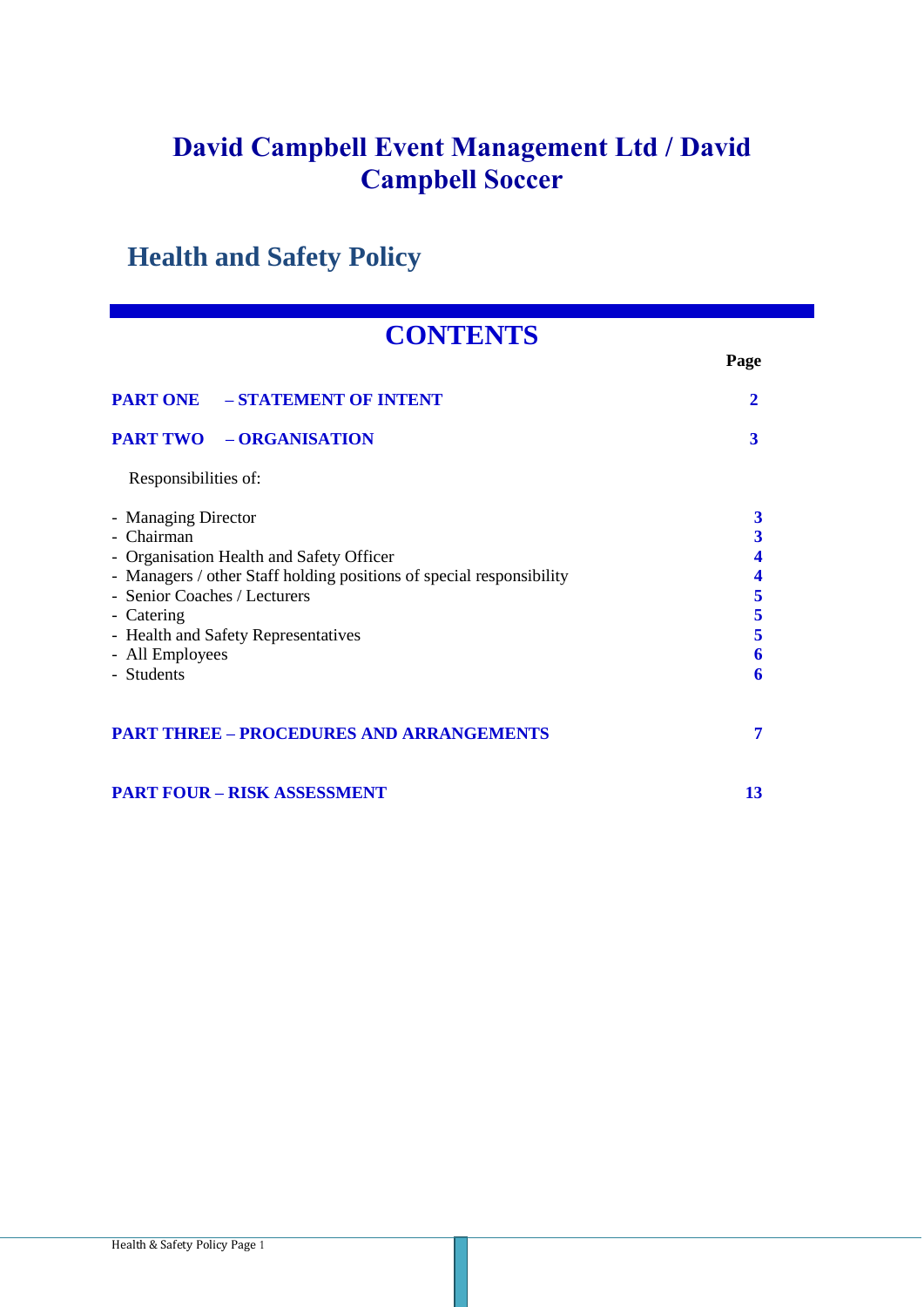# **Health and Safety Policy**

# **CONTENTS**

|                                                                                                                                                                                                                                                                             | Page                                                            |
|-----------------------------------------------------------------------------------------------------------------------------------------------------------------------------------------------------------------------------------------------------------------------------|-----------------------------------------------------------------|
| <b>PART ONE - STATEMENT OF INTENT</b>                                                                                                                                                                                                                                       | $\mathbf{2}$                                                    |
| <b>PART TWO - ORGANISATION</b>                                                                                                                                                                                                                                              | 3                                                               |
| Responsibilities of:                                                                                                                                                                                                                                                        |                                                                 |
| - Managing Director<br>- Chairman<br>- Organisation Health and Safety Officer<br>- Managers / other Staff holding positions of special responsibility<br>- Senior Coaches / Lecturers<br>- Catering<br>- Health and Safety Representatives<br>- All Employees<br>- Students | 3<br>$\overline{\mathbf{3}}$<br>4<br>4<br>5<br>5<br>5<br>6<br>6 |
| <b>PART THREE - PROCEDURES AND ARRANGEMENTS</b>                                                                                                                                                                                                                             | 7                                                               |
| <b>PART FOUR - RISK ASSESSMENT</b>                                                                                                                                                                                                                                          | 13                                                              |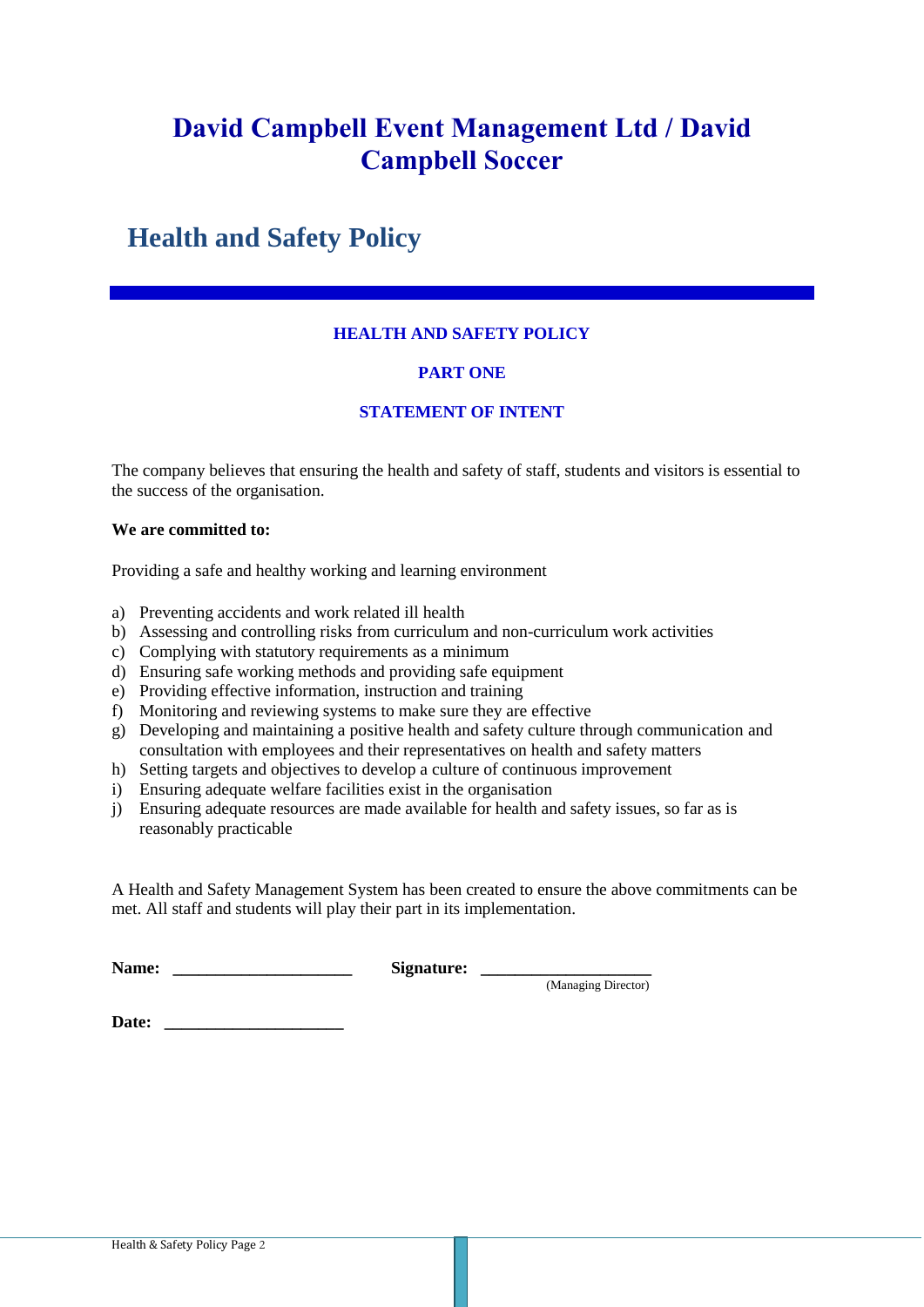# **Health and Safety Policy**

# **HEALTH AND SAFETY POLICY**

## **PART ONE**

## **STATEMENT OF INTENT**

The company believes that ensuring the health and safety of staff, students and visitors is essential to the success of the organisation.

#### **We are committed to:**

Providing a safe and healthy working and learning environment

- a) Preventing accidents and work related ill health
- b) Assessing and controlling risks from curriculum and non-curriculum work activities
- c) Complying with statutory requirements as a minimum
- d) Ensuring safe working methods and providing safe equipment
- e) Providing effective information, instruction and training
- f) Monitoring and reviewing systems to make sure they are effective
- g) Developing and maintaining a positive health and safety culture through communication and consultation with employees and their representatives on health and safety matters
- h) Setting targets and objectives to develop a culture of continuous improvement
- i) Ensuring adequate welfare facilities exist in the organisation
- j) Ensuring adequate resources are made available for health and safety issues, so far as is reasonably practicable

A Health and Safety Management System has been created to ensure the above commitments can be met. All staff and students will play their part in its implementation.

| Name: | Signature: |                  |
|-------|------------|------------------|
|       |            | (Mononic linear) |

(Managing Director)

Date: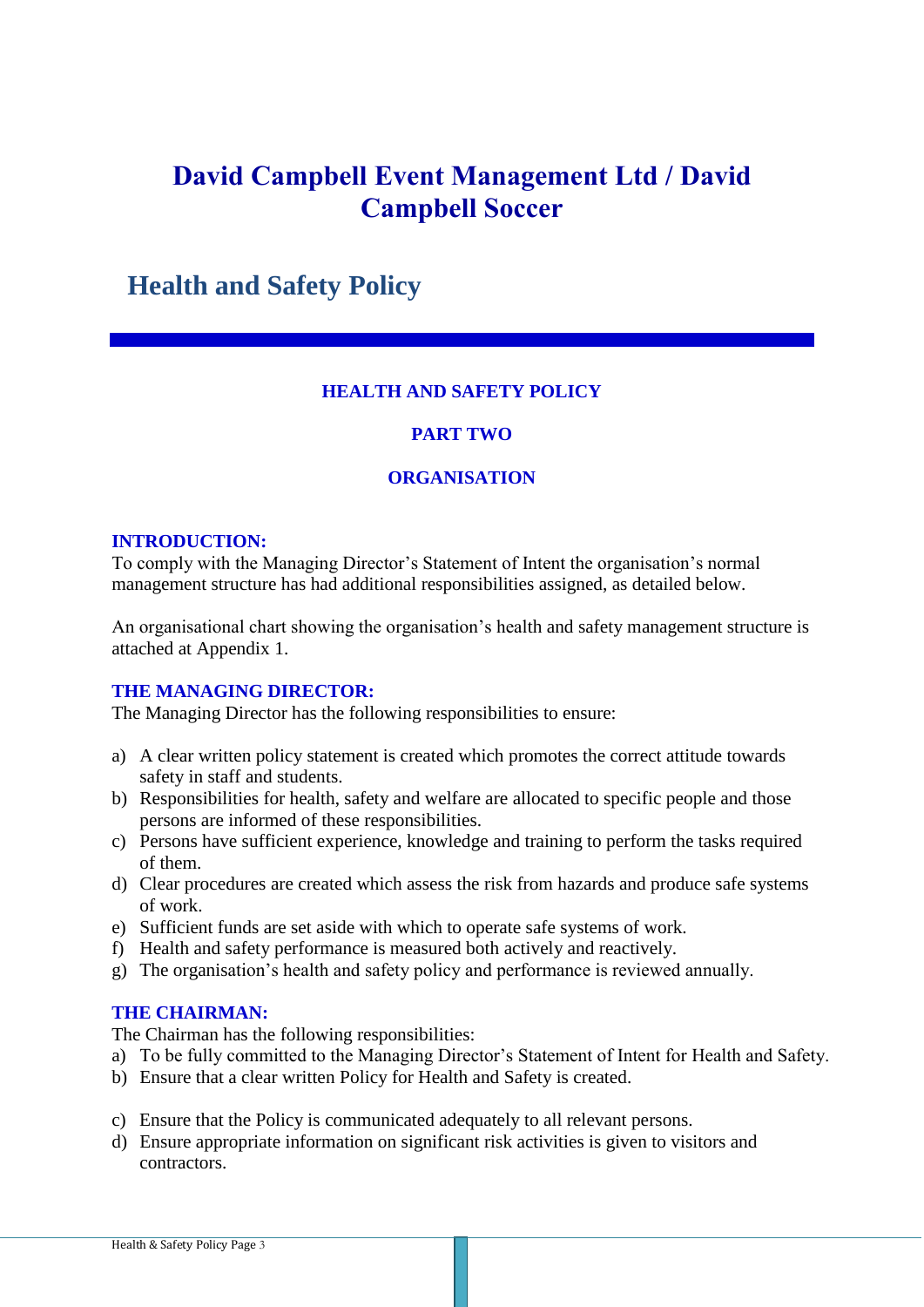# **Health and Safety Policy**

## **HEALTH AND SAFETY POLICY**

# **PART TWO**

## **ORGANISATION**

## **INTRODUCTION:**

To comply with the Managing Director's Statement of Intent the organisation's normal management structure has had additional responsibilities assigned, as detailed below.

An organisational chart showing the organisation's health and safety management structure is attached at Appendix 1.

## **THE MANAGING DIRECTOR:**

The Managing Director has the following responsibilities to ensure:

- a) A clear written policy statement is created which promotes the correct attitude towards safety in staff and students.
- b) Responsibilities for health, safety and welfare are allocated to specific people and those persons are informed of these responsibilities.
- c) Persons have sufficient experience, knowledge and training to perform the tasks required of them.
- d) Clear procedures are created which assess the risk from hazards and produce safe systems of work.
- e) Sufficient funds are set aside with which to operate safe systems of work.
- f) Health and safety performance is measured both actively and reactively.
- g) The organisation's health and safety policy and performance is reviewed annually.

#### **THE CHAIRMAN:**

The Chairman has the following responsibilities:

- a) To be fully committed to the Managing Director's Statement of Intent for Health and Safety.
- b) Ensure that a clear written Policy for Health and Safety is created.
- c) Ensure that the Policy is communicated adequately to all relevant persons.
- d) Ensure appropriate information on significant risk activities is given to visitors and contractors.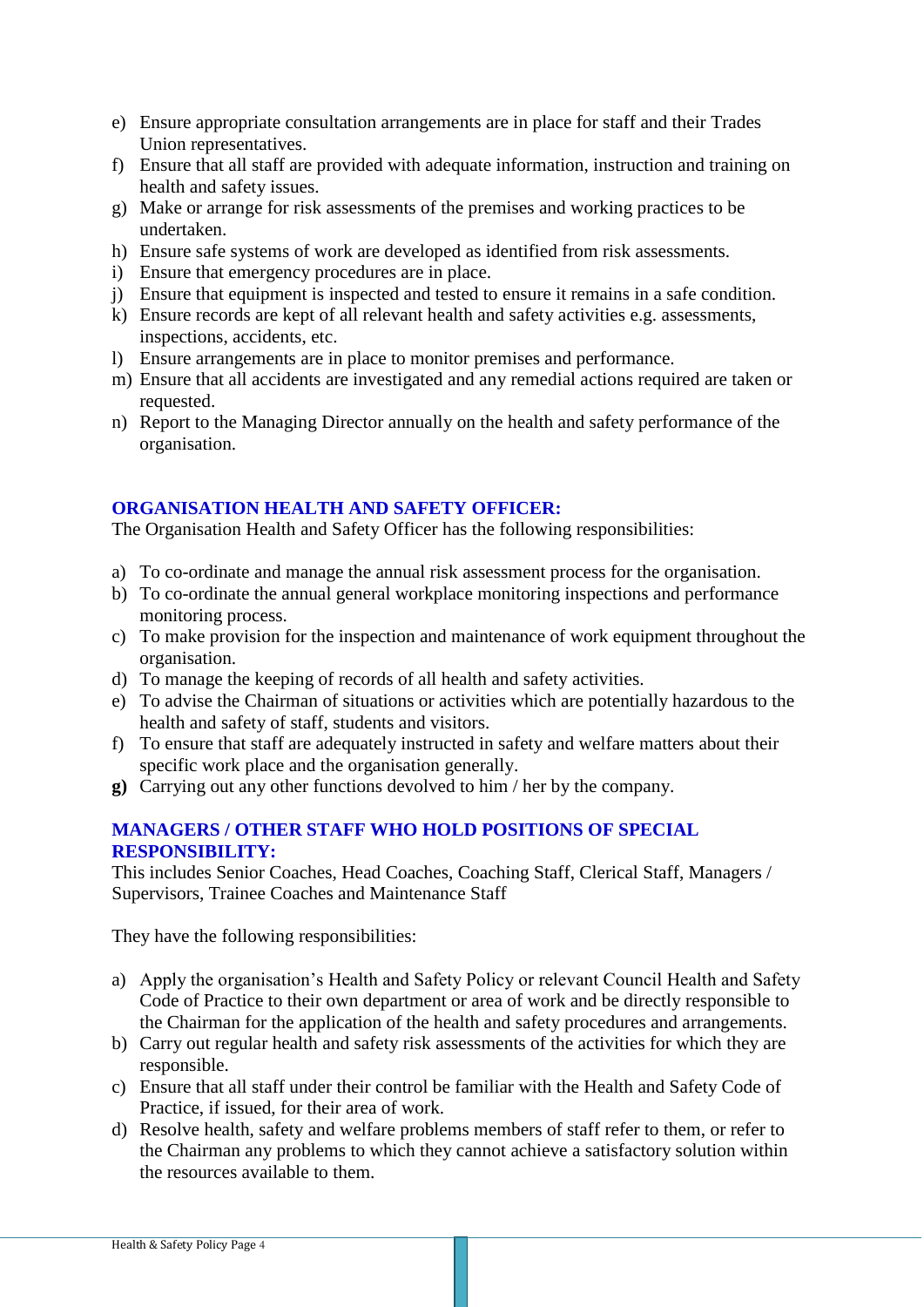- e) Ensure appropriate consultation arrangements are in place for staff and their Trades Union representatives.
- f) Ensure that all staff are provided with adequate information, instruction and training on health and safety issues.
- g) Make or arrange for risk assessments of the premises and working practices to be undertaken.
- h) Ensure safe systems of work are developed as identified from risk assessments.
- i) Ensure that emergency procedures are in place.
- j) Ensure that equipment is inspected and tested to ensure it remains in a safe condition.
- k) Ensure records are kept of all relevant health and safety activities e.g. assessments, inspections, accidents, etc.
- l) Ensure arrangements are in place to monitor premises and performance.
- m) Ensure that all accidents are investigated and any remedial actions required are taken or requested.
- n) Report to the Managing Director annually on the health and safety performance of the organisation.

## **ORGANISATION HEALTH AND SAFETY OFFICER:**

The Organisation Health and Safety Officer has the following responsibilities:

- a) To co-ordinate and manage the annual risk assessment process for the organisation.
- b) To co-ordinate the annual general workplace monitoring inspections and performance monitoring process.
- c) To make provision for the inspection and maintenance of work equipment throughout the organisation.
- d) To manage the keeping of records of all health and safety activities.
- e) To advise the Chairman of situations or activities which are potentially hazardous to the health and safety of staff, students and visitors.
- f) To ensure that staff are adequately instructed in safety and welfare matters about their specific work place and the organisation generally.
- **g)** Carrying out any other functions devolved to him / her by the company.

# **MANAGERS / OTHER STAFF WHO HOLD POSITIONS OF SPECIAL RESPONSIBILITY:**

This includes Senior Coaches, Head Coaches, Coaching Staff, Clerical Staff, Managers / Supervisors, Trainee Coaches and Maintenance Staff

They have the following responsibilities:

- a) Apply the organisation's Health and Safety Policy or relevant Council Health and Safety Code of Practice to their own department or area of work and be directly responsible to the Chairman for the application of the health and safety procedures and arrangements.
- b) Carry out regular health and safety risk assessments of the activities for which they are responsible.
- c) Ensure that all staff under their control be familiar with the Health and Safety Code of Practice, if issued, for their area of work.
- d) Resolve health, safety and welfare problems members of staff refer to them, or refer to the Chairman any problems to which they cannot achieve a satisfactory solution within the resources available to them.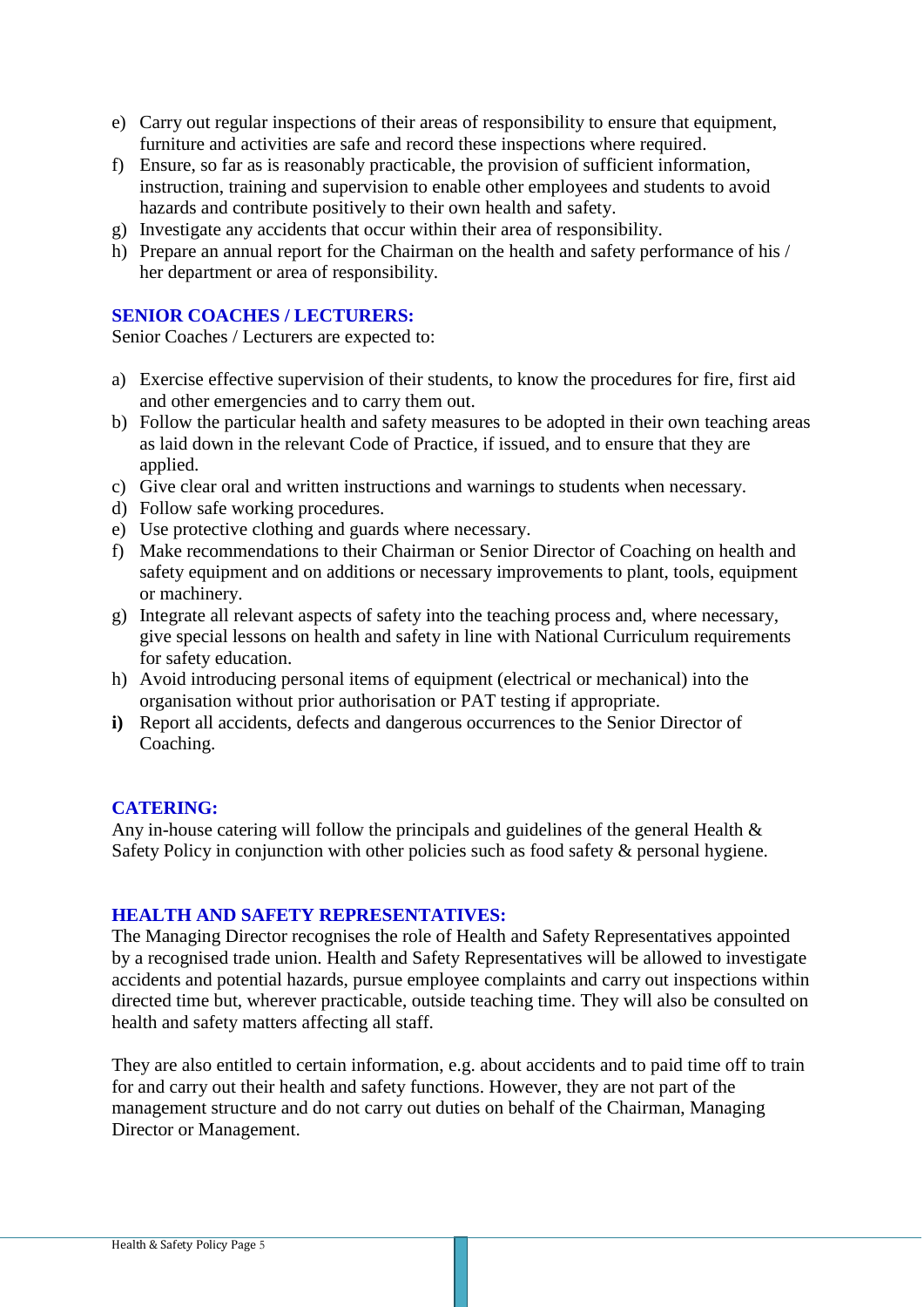- e) Carry out regular inspections of their areas of responsibility to ensure that equipment, furniture and activities are safe and record these inspections where required.
- f) Ensure, so far as is reasonably practicable, the provision of sufficient information, instruction, training and supervision to enable other employees and students to avoid hazards and contribute positively to their own health and safety.
- g) Investigate any accidents that occur within their area of responsibility.
- h) Prepare an annual report for the Chairman on the health and safety performance of his / her department or area of responsibility.

## **SENIOR COACHES / LECTURERS:**

Senior Coaches / Lecturers are expected to:

- a) Exercise effective supervision of their students, to know the procedures for fire, first aid and other emergencies and to carry them out.
- b) Follow the particular health and safety measures to be adopted in their own teaching areas as laid down in the relevant Code of Practice, if issued, and to ensure that they are applied.
- c) Give clear oral and written instructions and warnings to students when necessary.
- d) Follow safe working procedures.
- e) Use protective clothing and guards where necessary.
- f) Make recommendations to their Chairman or Senior Director of Coaching on health and safety equipment and on additions or necessary improvements to plant, tools, equipment or machinery.
- g) Integrate all relevant aspects of safety into the teaching process and, where necessary, give special lessons on health and safety in line with National Curriculum requirements for safety education.
- h) Avoid introducing personal items of equipment (electrical or mechanical) into the organisation without prior authorisation or PAT testing if appropriate.
- **i)** Report all accidents, defects and dangerous occurrences to the Senior Director of Coaching.

#### **CATERING:**

Any in-house catering will follow the principals and guidelines of the general Health & Safety Policy in conjunction with other policies such as food safety & personal hygiene.

## **HEALTH AND SAFETY REPRESENTATIVES:**

The Managing Director recognises the role of Health and Safety Representatives appointed by a recognised trade union. Health and Safety Representatives will be allowed to investigate accidents and potential hazards, pursue employee complaints and carry out inspections within directed time but, wherever practicable, outside teaching time. They will also be consulted on health and safety matters affecting all staff.

They are also entitled to certain information, e.g. about accidents and to paid time off to train for and carry out their health and safety functions. However, they are not part of the management structure and do not carry out duties on behalf of the Chairman, Managing Director or Management.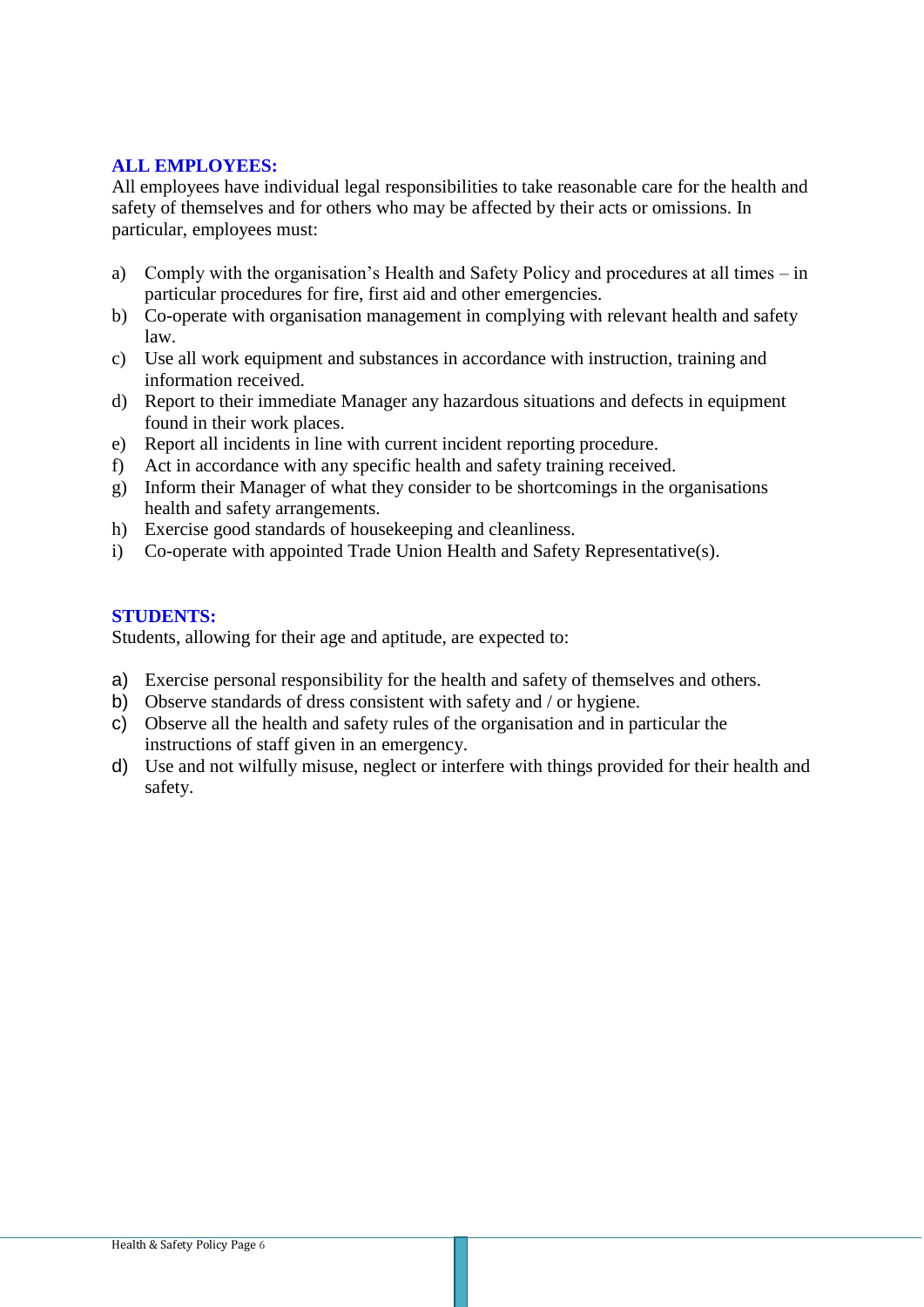# **ALL EMPLOYEES:**

All employees have individual legal responsibilities to take reasonable care for the health and safety of themselves and for others who may be affected by their acts or omissions. In particular, employees must:

- a) Comply with the organisation's Health and Safety Policy and procedures at all times in particular procedures for fire, first aid and other emergencies.
- b) Co-operate with organisation management in complying with relevant health and safety law.
- c) Use all work equipment and substances in accordance with instruction, training and information received.
- d) Report to their immediate Manager any hazardous situations and defects in equipment found in their work places.
- e) Report all incidents in line with current incident reporting procedure.
- f) Act in accordance with any specific health and safety training received.
- g) Inform their Manager of what they consider to be shortcomings in the organisations health and safety arrangements.
- h) Exercise good standards of housekeeping and cleanliness.
- i) Co-operate with appointed Trade Union Health and Safety Representative(s).

## **STUDENTS:**

Students, allowing for their age and aptitude, are expected to:

- a) Exercise personal responsibility for the health and safety of themselves and others.
- b) Observe standards of dress consistent with safety and / or hygiene.
- c) Observe all the health and safety rules of the organisation and in particular the instructions of staff given in an emergency.
- d) Use and not wilfully misuse, neglect or interfere with things provided for their health and safety.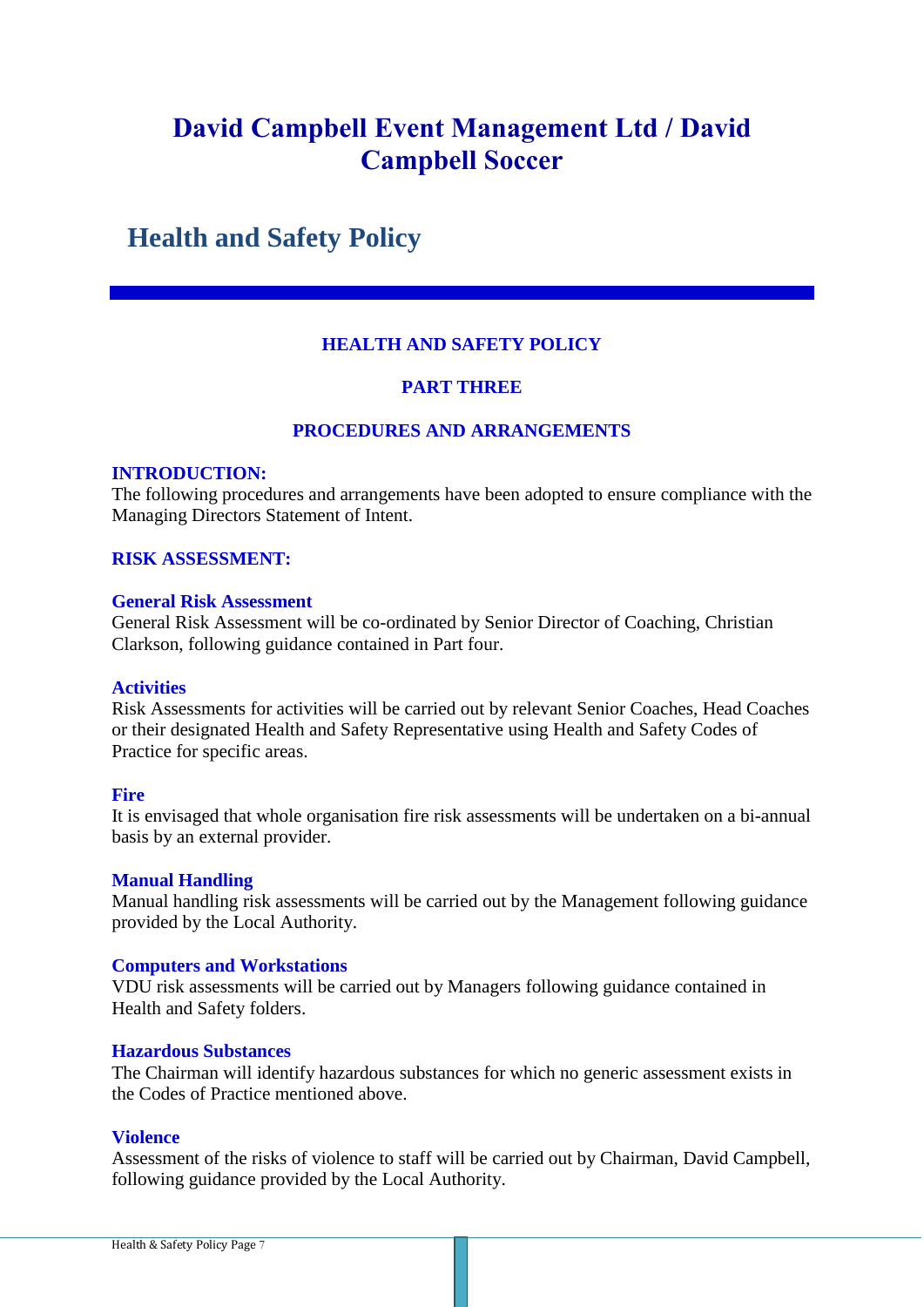# **Health and Safety Policy**

# **HEALTH AND SAFETY POLICY**

## **PART THREE**

## **PROCEDURES AND ARRANGEMENTS**

#### **INTRODUCTION:**

The following procedures and arrangements have been adopted to ensure compliance with the Managing Directors Statement of Intent.

## **RISK ASSESSMENT:**

#### **General Risk Assessment**

General Risk Assessment will be co-ordinated by Senior Director of Coaching, Christian Clarkson, following guidance contained in Part four.

#### **Activities**

Risk Assessments for activities will be carried out by relevant Senior Coaches, Head Coaches or their designated Health and Safety Representative using Health and Safety Codes of Practice for specific areas.

#### **Fire**

It is envisaged that whole organisation fire risk assessments will be undertaken on a bi-annual basis by an external provider.

#### **Manual Handling**

Manual handling risk assessments will be carried out by the Management following guidance provided by the Local Authority.

#### **Computers and Workstations**

VDU risk assessments will be carried out by Managers following guidance contained in Health and Safety folders.

#### **Hazardous Substances**

The Chairman will identify hazardous substances for which no generic assessment exists in the Codes of Practice mentioned above.

#### **Violence**

Assessment of the risks of violence to staff will be carried out by Chairman, David Campbell, following guidance provided by the Local Authority.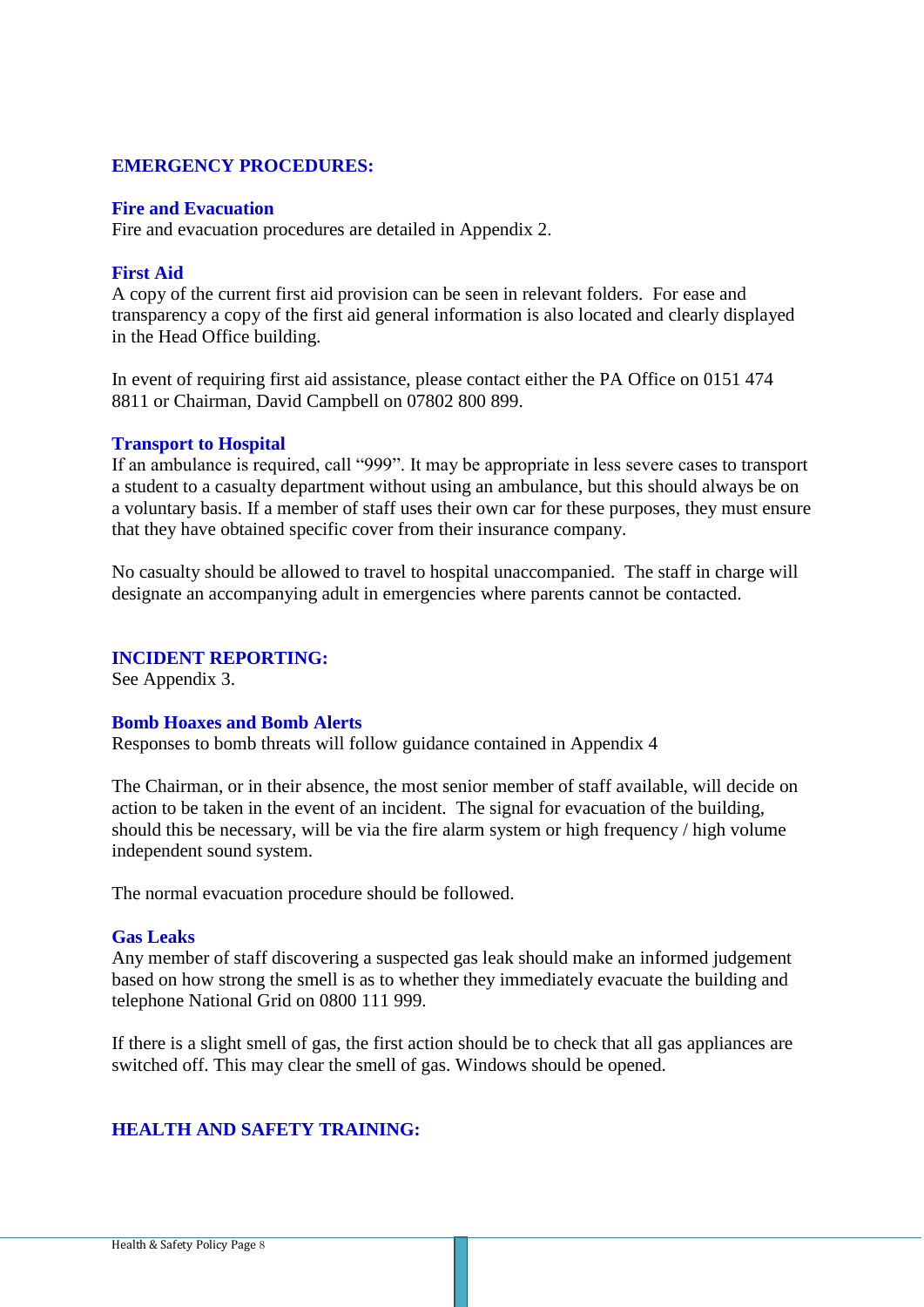## **EMERGENCY PROCEDURES:**

#### **Fire and Evacuation**

Fire and evacuation procedures are detailed in Appendix 2.

#### **First Aid**

A copy of the current first aid provision can be seen in relevant folders. For ease and transparency a copy of the first aid general information is also located and clearly displayed in the Head Office building.

In event of requiring first aid assistance, please contact either the PA Office on 0151 474 8811 or Chairman, David Campbell on 07802 800 899.

#### **Transport to Hospital**

If an ambulance is required, call "999". It may be appropriate in less severe cases to transport a student to a casualty department without using an ambulance, but this should always be on a voluntary basis. If a member of staff uses their own car for these purposes, they must ensure that they have obtained specific cover from their insurance company.

No casualty should be allowed to travel to hospital unaccompanied. The staff in charge will designate an accompanying adult in emergencies where parents cannot be contacted.

#### **INCIDENT REPORTING:**

See Appendix 3.

#### **Bomb Hoaxes and Bomb Alerts**

Responses to bomb threats will follow guidance contained in Appendix 4

The Chairman, or in their absence, the most senior member of staff available, will decide on action to be taken in the event of an incident. The signal for evacuation of the building, should this be necessary, will be via the fire alarm system or high frequency / high volume independent sound system.

The normal evacuation procedure should be followed.

#### **Gas Leaks**

Any member of staff discovering a suspected gas leak should make an informed judgement based on how strong the smell is as to whether they immediately evacuate the building and telephone National Grid on 0800 111 999.

If there is a slight smell of gas, the first action should be to check that all gas appliances are switched off. This may clear the smell of gas. Windows should be opened.

# **HEALTH AND SAFETY TRAINING:**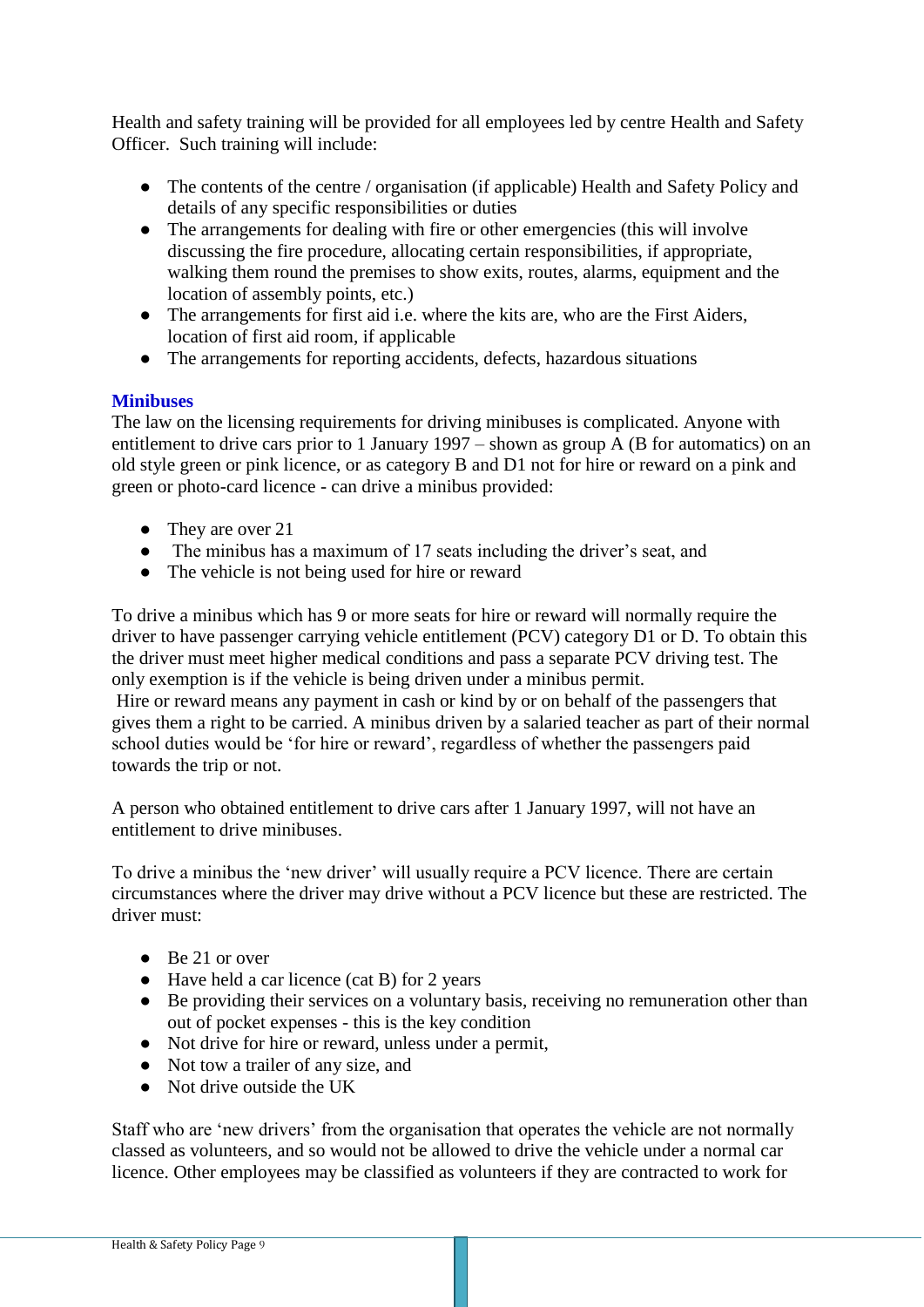Health and safety training will be provided for all employees led by centre Health and Safety Officer. Such training will include:

- The contents of the centre / organisation (if applicable) Health and Safety Policy and details of any specific responsibilities or duties
- The arrangements for dealing with fire or other emergencies (this will involve discussing the fire procedure, allocating certain responsibilities, if appropriate, walking them round the premises to show exits, routes, alarms, equipment and the location of assembly points, etc.)
- The arrangements for first aid i.e. where the kits are, who are the First Aiders, location of first aid room, if applicable
- The arrangements for reporting accidents, defects, hazardous situations

# **Minibuses**

The law on the licensing requirements for driving minibuses is complicated. Anyone with entitlement to drive cars prior to 1 January 1997 – shown as group A (B for automatics) on an old style green or pink licence, or as category B and D1 not for hire or reward on a pink and green or photo-card licence - can drive a minibus provided:

- They are over 21
- The minibus has a maximum of 17 seats including the driver's seat, and
- The vehicle is not being used for hire or reward

To drive a minibus which has 9 or more seats for hire or reward will normally require the driver to have passenger carrying vehicle entitlement (PCV) category D1 or D. To obtain this the driver must meet higher medical conditions and pass a separate PCV driving test. The only exemption is if the vehicle is being driven under a minibus permit.

Hire or reward means any payment in cash or kind by or on behalf of the passengers that gives them a right to be carried. A minibus driven by a salaried teacher as part of their normal school duties would be 'for hire or reward', regardless of whether the passengers paid towards the trip or not.

A person who obtained entitlement to drive cars after 1 January 1997, will not have an entitlement to drive minibuses.

To drive a minibus the 'new driver' will usually require a PCV licence. There are certain circumstances where the driver may drive without a PCV licence but these are restricted. The driver must:

- Be 21 or over
- Have held a car licence (cat B) for 2 years
- Be providing their services on a voluntary basis, receiving no remuneration other than out of pocket expenses - this is the key condition
- Not drive for hire or reward, unless under a permit,
- Not tow a trailer of any size, and
- Not drive outside the UK

Staff who are 'new drivers' from the organisation that operates the vehicle are not normally classed as volunteers, and so would not be allowed to drive the vehicle under a normal car licence. Other employees may be classified as volunteers if they are contracted to work for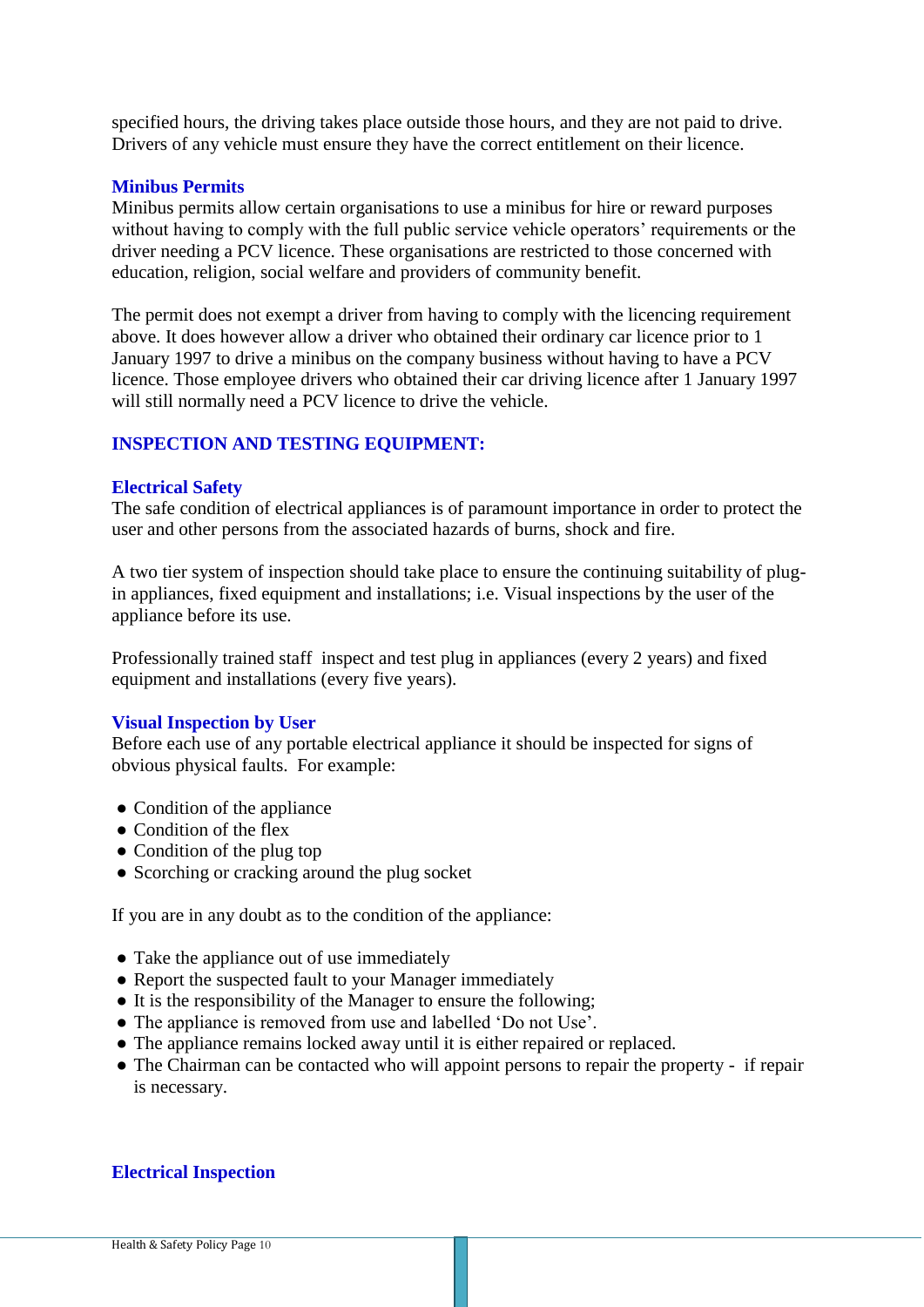specified hours, the driving takes place outside those hours, and they are not paid to drive. Drivers of any vehicle must ensure they have the correct entitlement on their licence.

## **Minibus Permits**

Minibus permits allow certain organisations to use a minibus for hire or reward purposes without having to comply with the full public service vehicle operators' requirements or the driver needing a PCV licence. These organisations are restricted to those concerned with education, religion, social welfare and providers of community benefit.

The permit does not exempt a driver from having to comply with the licencing requirement above. It does however allow a driver who obtained their ordinary car licence prior to 1 January 1997 to drive a minibus on the company business without having to have a PCV licence. Those employee drivers who obtained their car driving licence after 1 January 1997 will still normally need a PCV licence to drive the vehicle.

## **INSPECTION AND TESTING EQUIPMENT:**

## **Electrical Safety**

The safe condition of electrical appliances is of paramount importance in order to protect the user and other persons from the associated hazards of burns, shock and fire.

A two tier system of inspection should take place to ensure the continuing suitability of plugin appliances, fixed equipment and installations; i.e. Visual inspections by the user of the appliance before its use.

Professionally trained staff inspect and test plug in appliances (every 2 years) and fixed equipment and installations (every five years).

#### **Visual Inspection by User**

Before each use of any portable electrical appliance it should be inspected for signs of obvious physical faults. For example:

- Condition of the appliance
- Condition of the flex
- Condition of the plug top
- Scorching or cracking around the plug socket

If you are in any doubt as to the condition of the appliance:

- Take the appliance out of use immediately
- Report the suspected fault to your Manager immediately
- $\bullet$  It is the responsibility of the Manager to ensure the following;
- The appliance is removed from use and labelled 'Do not Use'.
- The appliance remains locked away until it is either repaired or replaced.
- The Chairman can be contacted who will appoint persons to repair the property if repair is necessary.

## **Electrical Inspection**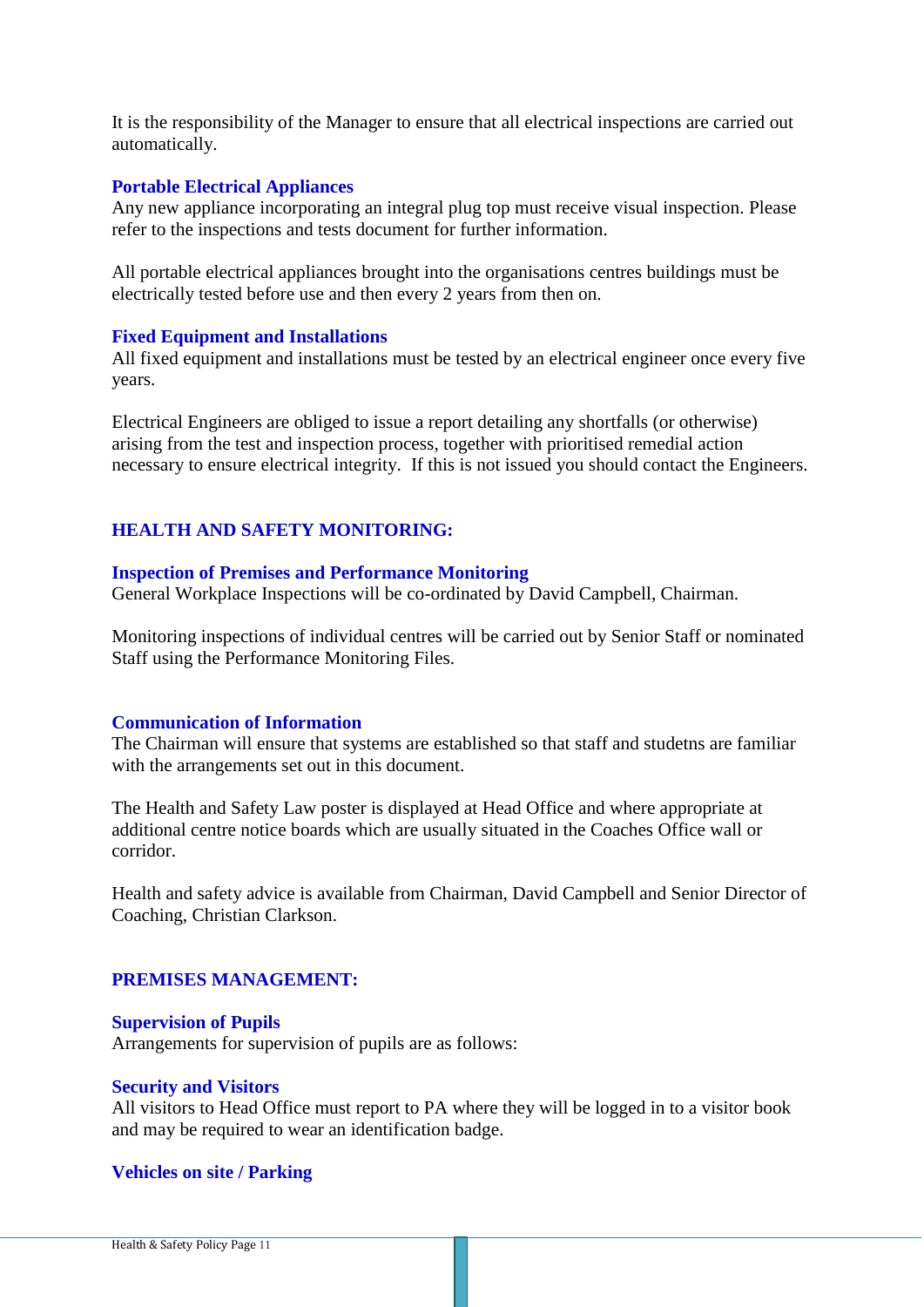It is the responsibility of the Manager to ensure that all electrical inspections are carried out automatically.

## **Portable Electrical Appliances**

Any new appliance incorporating an integral plug top must receive visual inspection. Please refer to the inspections and tests document for further information.

All portable electrical appliances brought into the organisations centres buildings must be electrically tested before use and then every 2 years from then on.

#### **Fixed Equipment and Installations**

All fixed equipment and installations must be tested by an electrical engineer once every five years.

Electrical Engineers are obliged to issue a report detailing any shortfalls (or otherwise) arising from the test and inspection process, together with prioritised remedial action necessary to ensure electrical integrity. If this is not issued you should contact the Engineers.

## **HEALTH AND SAFETY MONITORING:**

#### **Inspection of Premises and Performance Monitoring**

General Workplace Inspections will be co-ordinated by David Campbell, Chairman.

Monitoring inspections of individual centres will be carried out by Senior Staff or nominated Staff using the Performance Monitoring Files.

## **Communication of Information**

The Chairman will ensure that systems are established so that staff and studetns are familiar with the arrangements set out in this document.

The Health and Safety Law poster is displayed at Head Office and where appropriate at additional centre notice boards which are usually situated in the Coaches Office wall or corridor.

Health and safety advice is available from Chairman, David Campbell and Senior Director of Coaching, Christian Clarkson.

## **PREMISES MANAGEMENT:**

#### **Supervision of Pupils**

Arrangements for supervision of pupils are as follows:

#### **Security and Visitors**

All visitors to Head Office must report to PA where they will be logged in to a visitor book and may be required to wear an identification badge.

#### **Vehicles on site / Parking**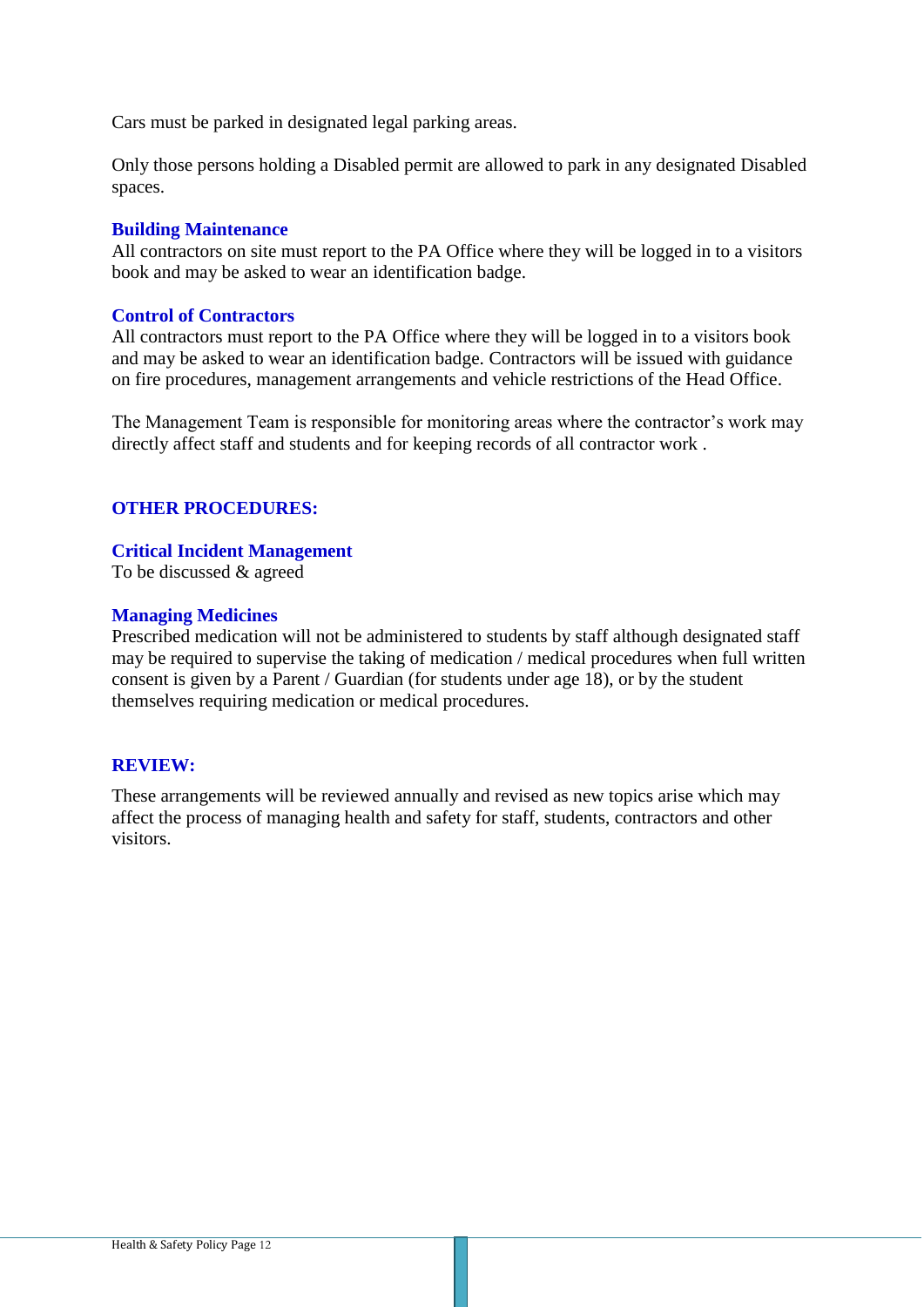Cars must be parked in designated legal parking areas.

Only those persons holding a Disabled permit are allowed to park in any designated Disabled spaces.

## **Building Maintenance**

All contractors on site must report to the PA Office where they will be logged in to a visitors book and may be asked to wear an identification badge.

## **Control of Contractors**

All contractors must report to the PA Office where they will be logged in to a visitors book and may be asked to wear an identification badge. Contractors will be issued with guidance on fire procedures, management arrangements and vehicle restrictions of the Head Office.

The Management Team is responsible for monitoring areas where the contractor's work may directly affect staff and students and for keeping records of all contractor work .

## **OTHER PROCEDURES:**

## **Critical Incident Management**

To be discussed & agreed

## **Managing Medicines**

Prescribed medication will not be administered to students by staff although designated staff may be required to supervise the taking of medication / medical procedures when full written consent is given by a Parent / Guardian (for students under age 18), or by the student themselves requiring medication or medical procedures.

## **REVIEW:**

These arrangements will be reviewed annually and revised as new topics arise which may affect the process of managing health and safety for staff, students, contractors and other visitors.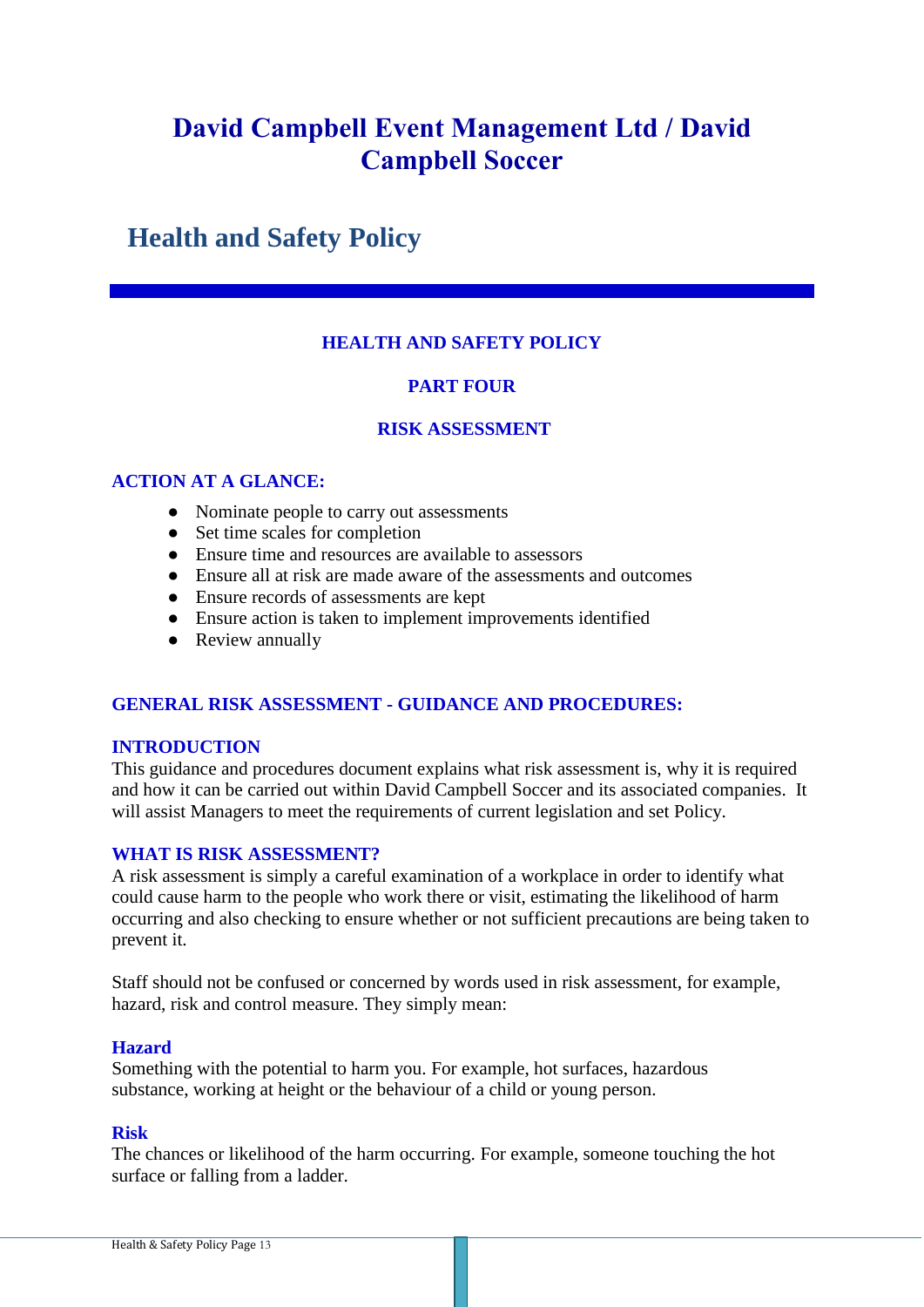# **Health and Safety Policy**

# **HEALTH AND SAFETY POLICY**

# **PART FOUR**

# **RISK ASSESSMENT**

# **ACTION AT A GLANCE:**

- Nominate people to carry out assessments
- Set time scales for completion
- Ensure time and resources are available to assessors
- Ensure all at risk are made aware of the assessments and outcomes
- Ensure records of assessments are kept
- Ensure action is taken to implement improvements identified
- Review annually

# **GENERAL RISK ASSESSMENT - GUIDANCE AND PROCEDURES:**

## **INTRODUCTION**

This guidance and procedures document explains what risk assessment is, why it is required and how it can be carried out within David Campbell Soccer and its associated companies. It will assist Managers to meet the requirements of current legislation and set Policy.

# **WHAT IS RISK ASSESSMENT?**

A risk assessment is simply a careful examination of a workplace in order to identify what could cause harm to the people who work there or visit, estimating the likelihood of harm occurring and also checking to ensure whether or not sufficient precautions are being taken to prevent it.

Staff should not be confused or concerned by words used in risk assessment, for example, hazard, risk and control measure. They simply mean:

## **Hazard**

Something with the potential to harm you. For example, hot surfaces, hazardous substance, working at height or the behaviour of a child or young person.

## **Risk**

The chances or likelihood of the harm occurring. For example, someone touching the hot surface or falling from a ladder.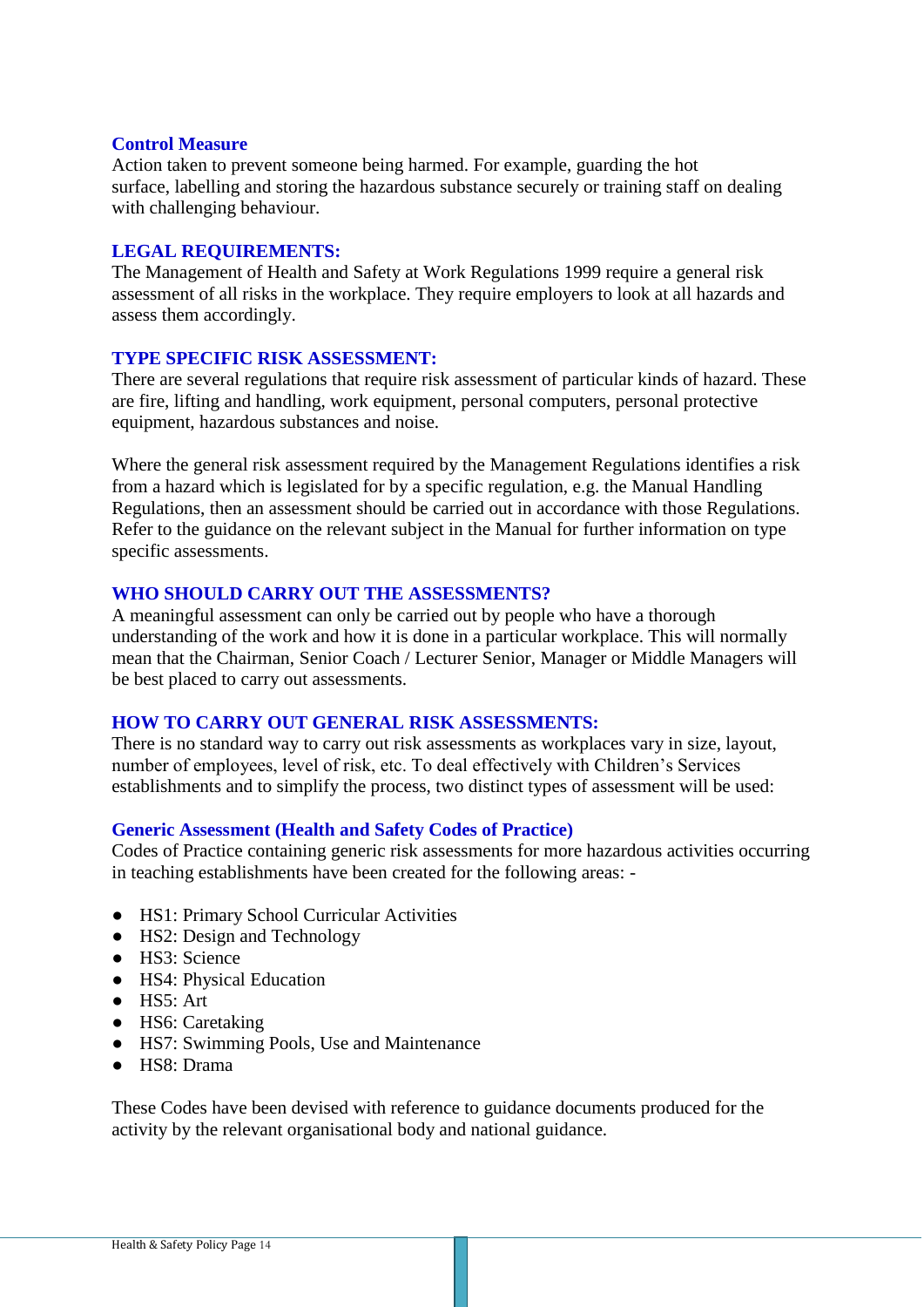#### **Control Measure**

Action taken to prevent someone being harmed. For example, guarding the hot surface, labelling and storing the hazardous substance securely or training staff on dealing with challenging behaviour.

## **LEGAL REQUIREMENTS:**

The Management of Health and Safety at Work Regulations 1999 require a general risk assessment of all risks in the workplace. They require employers to look at all hazards and assess them accordingly.

## **TYPE SPECIFIC RISK ASSESSMENT:**

There are several regulations that require risk assessment of particular kinds of hazard. These are fire, lifting and handling, work equipment, personal computers, personal protective equipment, hazardous substances and noise.

Where the general risk assessment required by the Management Regulations identifies a risk from a hazard which is legislated for by a specific regulation, e.g. the Manual Handling Regulations, then an assessment should be carried out in accordance with those Regulations. Refer to the guidance on the relevant subject in the Manual for further information on type specific assessments.

## **WHO SHOULD CARRY OUT THE ASSESSMENTS?**

A meaningful assessment can only be carried out by people who have a thorough understanding of the work and how it is done in a particular workplace. This will normally mean that the Chairman, Senior Coach / Lecturer Senior, Manager or Middle Managers will be best placed to carry out assessments.

#### **HOW TO CARRY OUT GENERAL RISK ASSESSMENTS:**

There is no standard way to carry out risk assessments as workplaces vary in size, layout, number of employees, level of risk, etc. To deal effectively with Children's Services establishments and to simplify the process, two distinct types of assessment will be used:

## **Generic Assessment (Health and Safety Codes of Practice)**

Codes of Practice containing generic risk assessments for more hazardous activities occurring in teaching establishments have been created for the following areas: -

- HS1: Primary School Curricular Activities
- HS2: Design and Technology
- HS3: Science
- HS4: Physical Education
- HS5: Art
- HS6: Caretaking
- HS7: Swimming Pools, Use and Maintenance
- HS8: Drama

These Codes have been devised with reference to guidance documents produced for the activity by the relevant organisational body and national guidance.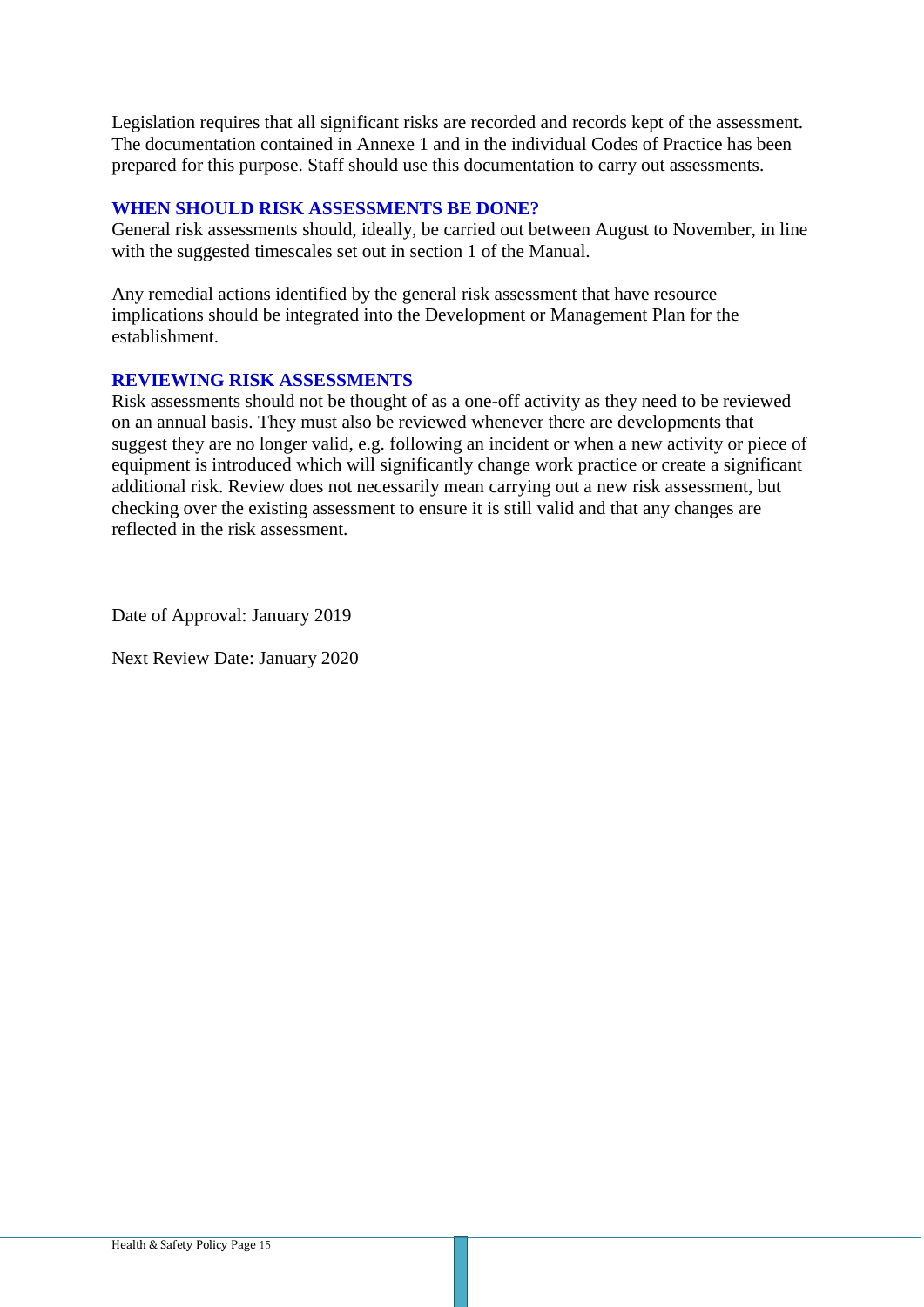Legislation requires that all significant risks are recorded and records kept of the assessment. The documentation contained in Annexe 1 and in the individual Codes of Practice has been prepared for this purpose. Staff should use this documentation to carry out assessments.

# **WHEN SHOULD RISK ASSESSMENTS BE DONE?**

General risk assessments should, ideally, be carried out between August to November, in line with the suggested timescales set out in section 1 of the Manual.

Any remedial actions identified by the general risk assessment that have resource implications should be integrated into the Development or Management Plan for the establishment.

## **REVIEWING RISK ASSESSMENTS**

Risk assessments should not be thought of as a one-off activity as they need to be reviewed on an annual basis. They must also be reviewed whenever there are developments that suggest they are no longer valid, e.g. following an incident or when a new activity or piece of equipment is introduced which will significantly change work practice or create a significant additional risk. Review does not necessarily mean carrying out a new risk assessment, but checking over the existing assessment to ensure it is still valid and that any changes are reflected in the risk assessment.

Date of Approval: January 2019

Next Review Date: January 2020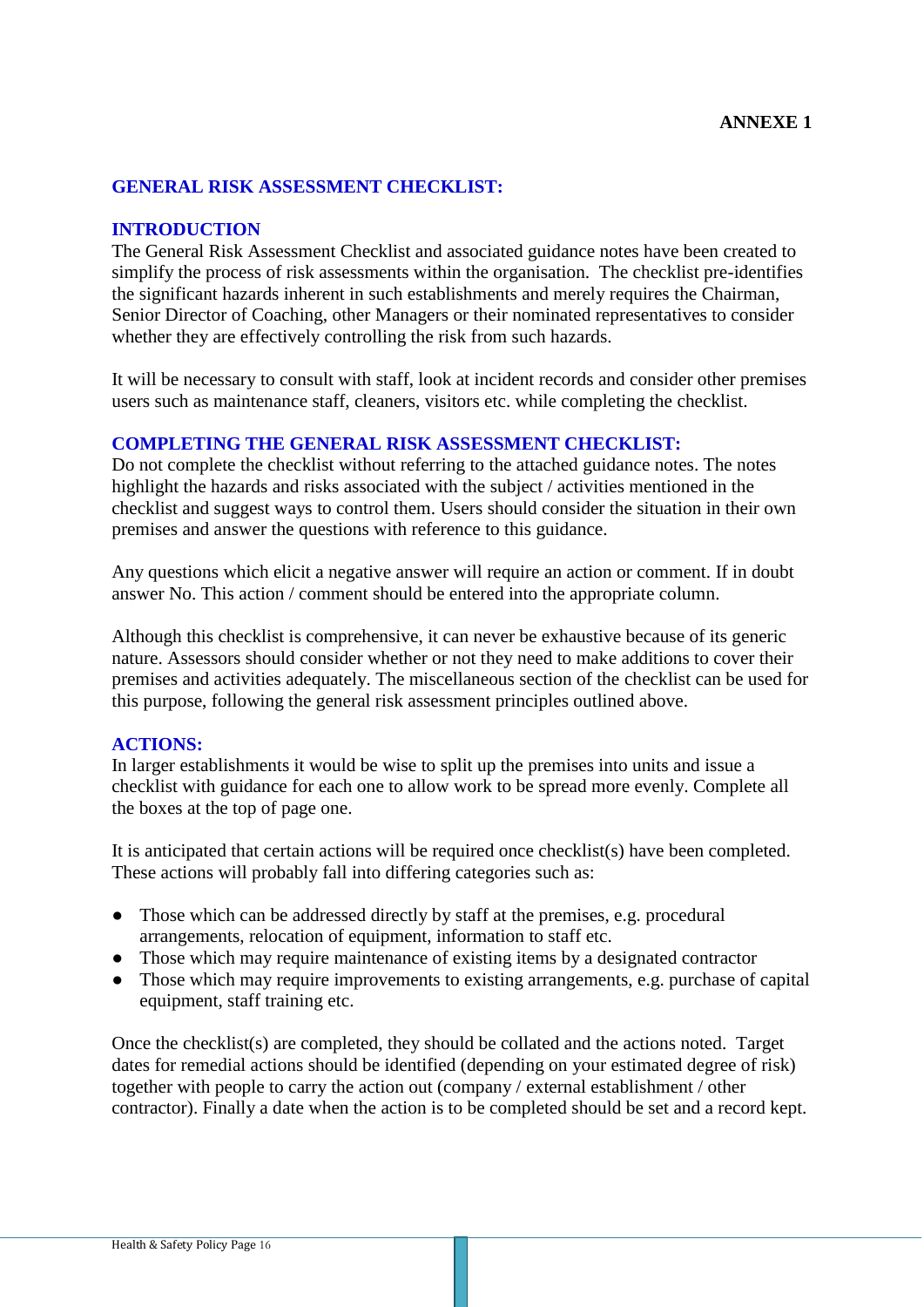## **GENERAL RISK ASSESSMENT CHECKLIST:**

## **INTRODUCTION**

The General Risk Assessment Checklist and associated guidance notes have been created to simplify the process of risk assessments within the organisation. The checklist pre-identifies the significant hazards inherent in such establishments and merely requires the Chairman, Senior Director of Coaching, other Managers or their nominated representatives to consider whether they are effectively controlling the risk from such hazards.

It will be necessary to consult with staff, look at incident records and consider other premises users such as maintenance staff, cleaners, visitors etc. while completing the checklist.

### **COMPLETING THE GENERAL RISK ASSESSMENT CHECKLIST:**

Do not complete the checklist without referring to the attached guidance notes. The notes highlight the hazards and risks associated with the subject / activities mentioned in the checklist and suggest ways to control them. Users should consider the situation in their own premises and answer the questions with reference to this guidance.

Any questions which elicit a negative answer will require an action or comment. If in doubt answer No. This action / comment should be entered into the appropriate column.

Although this checklist is comprehensive, it can never be exhaustive because of its generic nature. Assessors should consider whether or not they need to make additions to cover their premises and activities adequately. The miscellaneous section of the checklist can be used for this purpose, following the general risk assessment principles outlined above.

## **ACTIONS:**

In larger establishments it would be wise to split up the premises into units and issue a checklist with guidance for each one to allow work to be spread more evenly. Complete all the boxes at the top of page one.

It is anticipated that certain actions will be required once checklist(s) have been completed. These actions will probably fall into differing categories such as:

- Those which can be addressed directly by staff at the premises, e.g. procedural arrangements, relocation of equipment, information to staff etc.
- Those which may require maintenance of existing items by a designated contractor
- Those which may require improvements to existing arrangements, e.g. purchase of capital equipment, staff training etc.

Once the checklist(s) are completed, they should be collated and the actions noted. Target dates for remedial actions should be identified (depending on your estimated degree of risk) together with people to carry the action out (company / external establishment / other contractor). Finally a date when the action is to be completed should be set and a record kept.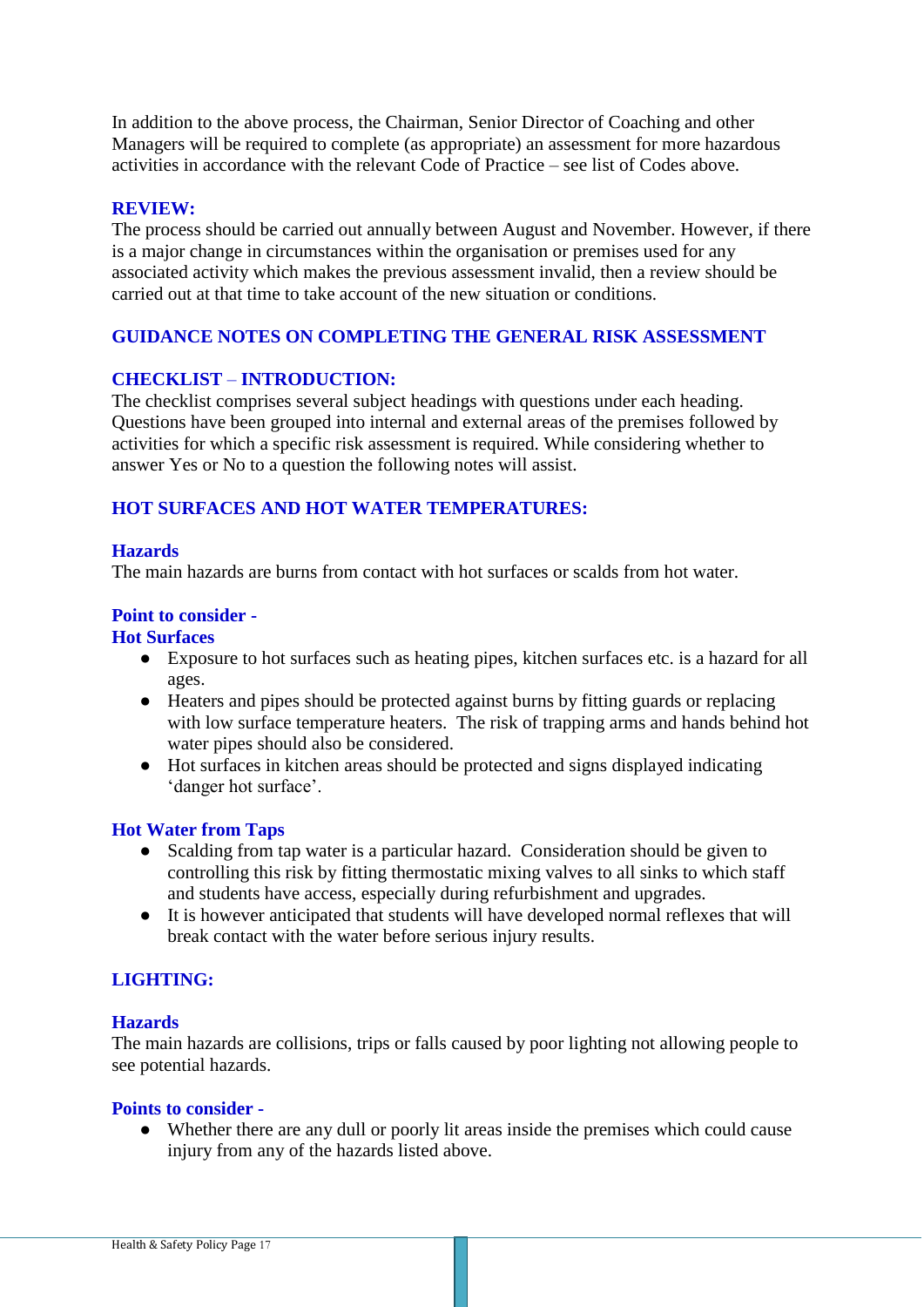In addition to the above process, the Chairman, Senior Director of Coaching and other Managers will be required to complete (as appropriate) an assessment for more hazardous activities in accordance with the relevant Code of Practice – see list of Codes above.

## **REVIEW:**

The process should be carried out annually between August and November. However, if there is a major change in circumstances within the organisation or premises used for any associated activity which makes the previous assessment invalid, then a review should be carried out at that time to take account of the new situation or conditions.

# **GUIDANCE NOTES ON COMPLETING THE GENERAL RISK ASSESSMENT**

## **CHECKLIST** – **INTRODUCTION:**

The checklist comprises several subject headings with questions under each heading. Questions have been grouped into internal and external areas of the premises followed by activities for which a specific risk assessment is required. While considering whether to answer Yes or No to a question the following notes will assist.

## **HOT SURFACES AND HOT WATER TEMPERATURES:**

## **Hazards**

The main hazards are burns from contact with hot surfaces or scalds from hot water.

## **Point to consider -**

## **Hot Surfaces**

- Exposure to hot surfaces such as heating pipes, kitchen surfaces etc. is a hazard for all ages.
- Heaters and pipes should be protected against burns by fitting guards or replacing with low surface temperature heaters. The risk of trapping arms and hands behind hot water pipes should also be considered.
- Hot surfaces in kitchen areas should be protected and signs displayed indicating 'danger hot surface'.

## **Hot Water from Taps**

- Scalding from tap water is a particular hazard. Consideration should be given to controlling this risk by fitting thermostatic mixing valves to all sinks to which staff and students have access, especially during refurbishment and upgrades.
- It is however anticipated that students will have developed normal reflexes that will break contact with the water before serious injury results.

# **LIGHTING:**

## **Hazards**

The main hazards are collisions, trips or falls caused by poor lighting not allowing people to see potential hazards.

#### **Points to consider -**

● Whether there are any dull or poorly lit areas inside the premises which could cause injury from any of the hazards listed above.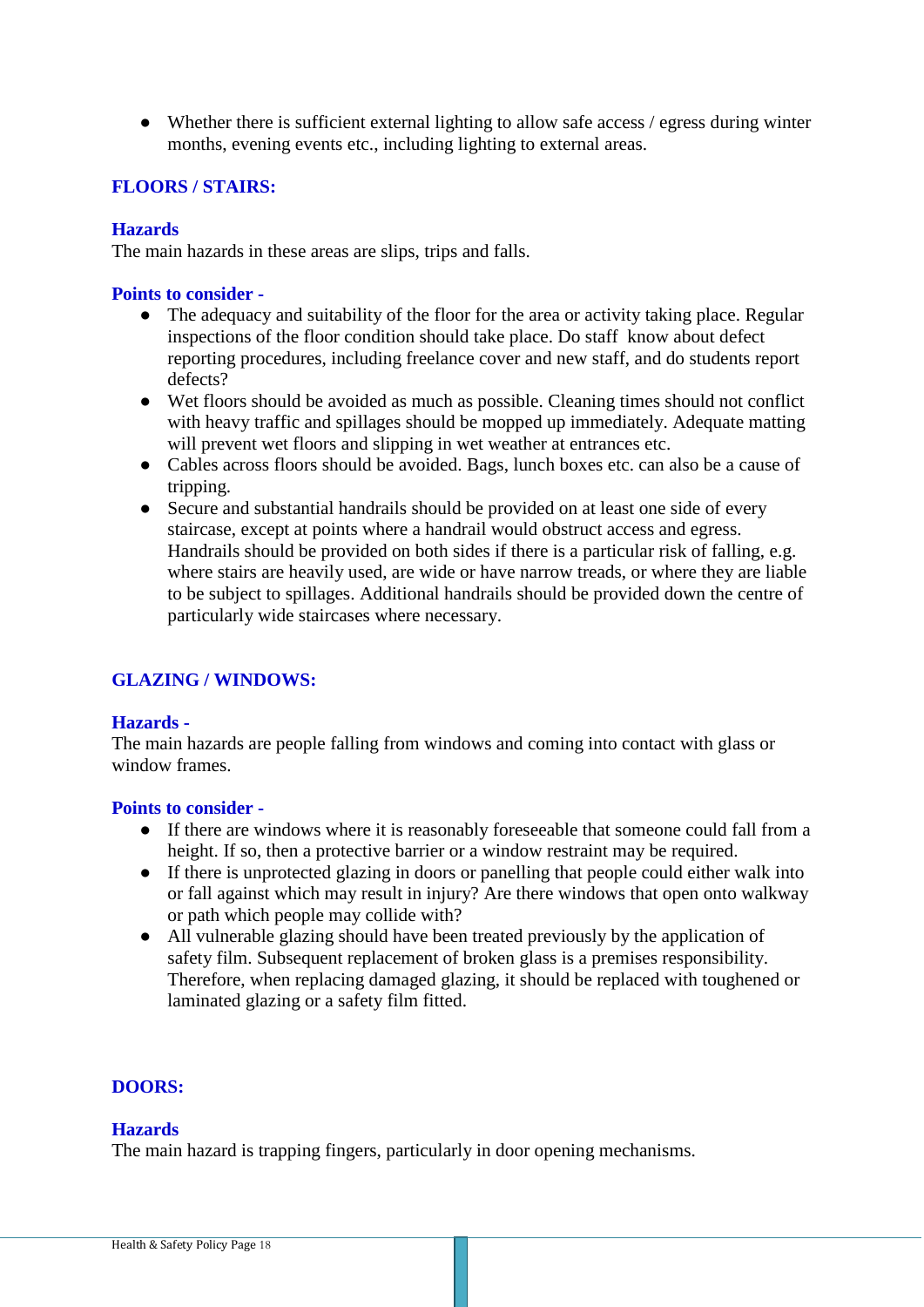● Whether there is sufficient external lighting to allow safe access / egress during winter months, evening events etc., including lighting to external areas.

# **FLOORS / STAIRS:**

## **Hazards**

The main hazards in these areas are slips, trips and falls.

## **Points to consider -**

- The adequacy and suitability of the floor for the area or activity taking place. Regular inspections of the floor condition should take place. Do staff know about defect reporting procedures, including freelance cover and new staff, and do students report defects?
- Wet floors should be avoided as much as possible. Cleaning times should not conflict with heavy traffic and spillages should be mopped up immediately. Adequate matting will prevent wet floors and slipping in wet weather at entrances etc.
- Cables across floors should be avoided. Bags, lunch boxes etc. can also be a cause of tripping.
- Secure and substantial handrails should be provided on at least one side of every staircase, except at points where a handrail would obstruct access and egress. Handrails should be provided on both sides if there is a particular risk of falling, e.g. where stairs are heavily used, are wide or have narrow treads, or where they are liable to be subject to spillages. Additional handrails should be provided down the centre of particularly wide staircases where necessary.

# **GLAZING / WINDOWS:**

## **Hazards -**

The main hazards are people falling from windows and coming into contact with glass or window frames.

## **Points to consider -**

- If there are windows where it is reasonably foreseeable that someone could fall from a height. If so, then a protective barrier or a window restraint may be required.
- If there is unprotected glazing in doors or panelling that people could either walk into or fall against which may result in injury? Are there windows that open onto walkway or path which people may collide with?
- All vulnerable glazing should have been treated previously by the application of safety film. Subsequent replacement of broken glass is a premises responsibility. Therefore, when replacing damaged glazing, it should be replaced with toughened or laminated glazing or a safety film fitted.

# **DOORS:**

# **Hazards**

The main hazard is trapping fingers, particularly in door opening mechanisms.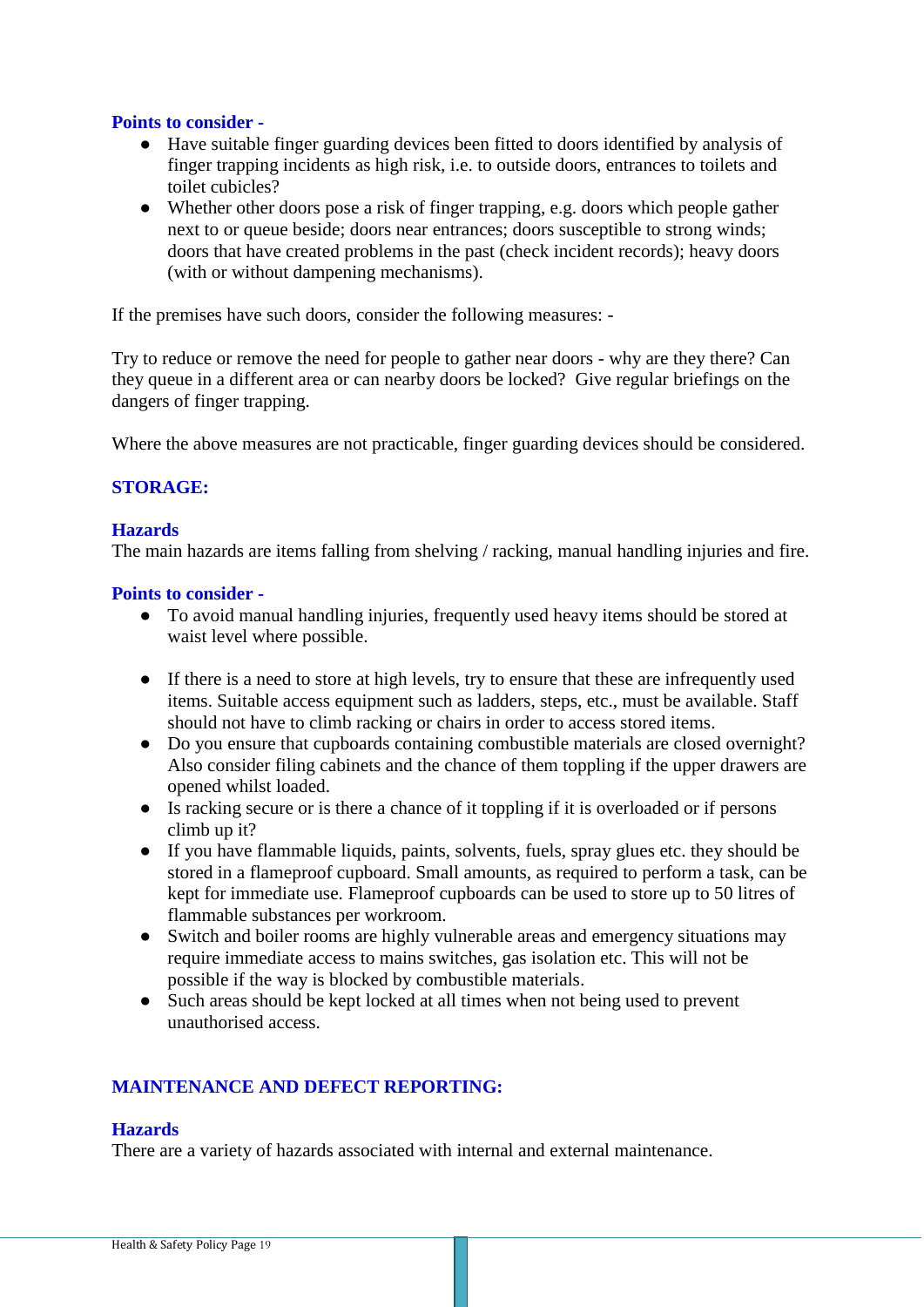# **Points to consider -**

- Have suitable finger guarding devices been fitted to doors identified by analysis of finger trapping incidents as high risk, i.e. to outside doors, entrances to toilets and toilet cubicles?
- Whether other doors pose a risk of finger trapping, e.g. doors which people gather next to or queue beside; doors near entrances; doors susceptible to strong winds; doors that have created problems in the past (check incident records); heavy doors (with or without dampening mechanisms).

If the premises have such doors, consider the following measures: -

Try to reduce or remove the need for people to gather near doors - why are they there? Can they queue in a different area or can nearby doors be locked? Give regular briefings on the dangers of finger trapping.

Where the above measures are not practicable, finger guarding devices should be considered.

# **STORAGE:**

## **Hazards**

The main hazards are items falling from shelving / racking, manual handling injuries and fire.

## **Points to consider -**

- To avoid manual handling injuries, frequently used heavy items should be stored at waist level where possible.
- If there is a need to store at high levels, try to ensure that these are infrequently used items. Suitable access equipment such as ladders, steps, etc., must be available. Staff should not have to climb racking or chairs in order to access stored items.
- Do you ensure that cupboards containing combustible materials are closed overnight? Also consider filing cabinets and the chance of them toppling if the upper drawers are opened whilst loaded.
- Is racking secure or is there a chance of it toppling if it is overloaded or if persons climb up it?
- If you have flammable liquids, paints, solvents, fuels, spray glues etc. they should be stored in a flameproof cupboard. Small amounts, as required to perform a task, can be kept for immediate use. Flameproof cupboards can be used to store up to 50 litres of flammable substances per workroom.
- Switch and boiler rooms are highly vulnerable areas and emergency situations may require immediate access to mains switches, gas isolation etc. This will not be possible if the way is blocked by combustible materials.
- Such areas should be kept locked at all times when not being used to prevent unauthorised access.

# **MAINTENANCE AND DEFECT REPORTING:**

## **Hazards**

There are a variety of hazards associated with internal and external maintenance.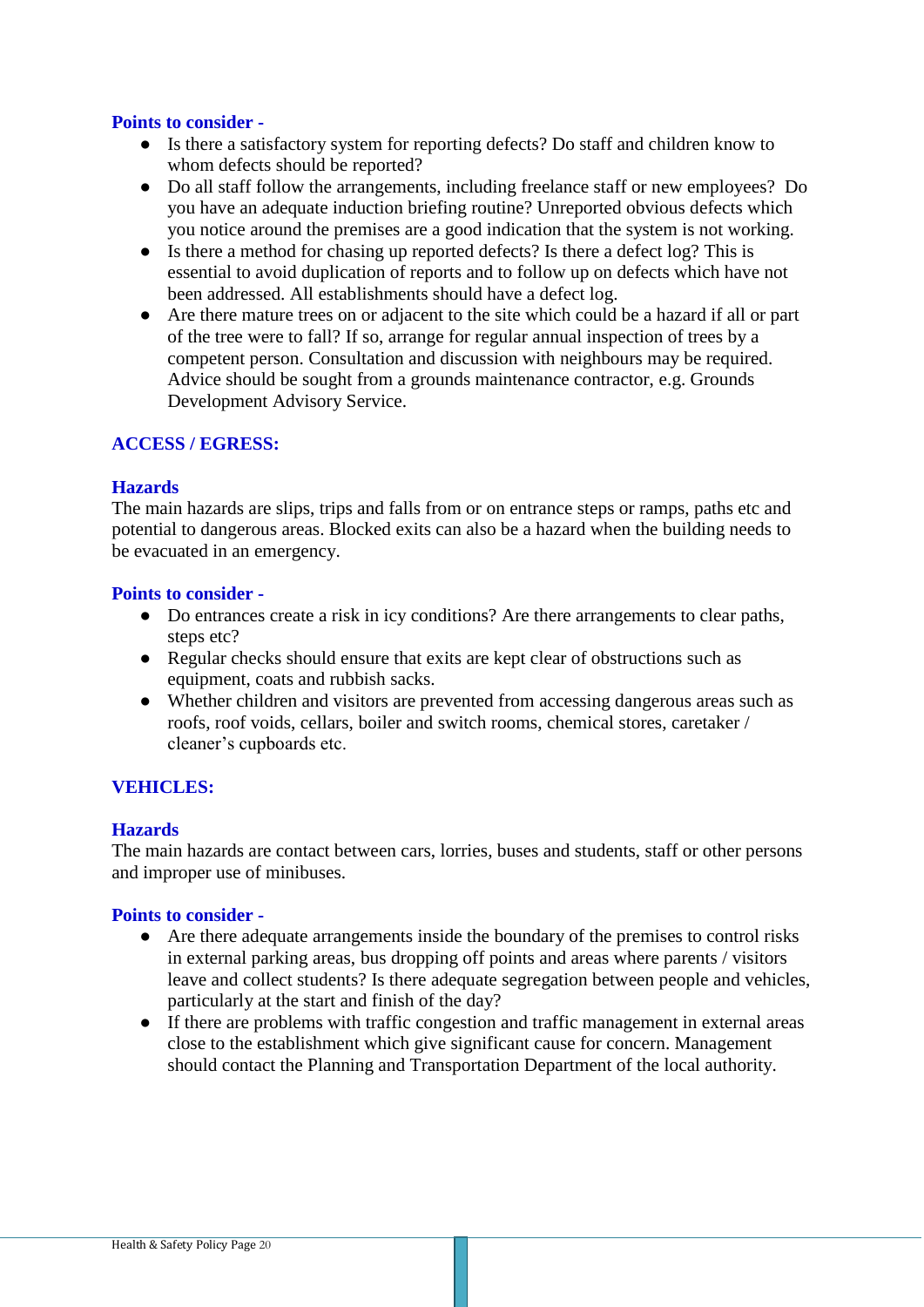## **Points to consider -**

- Is there a satisfactory system for reporting defects? Do staff and children know to whom defects should be reported?
- Do all staff follow the arrangements, including freelance staff or new employees? Do you have an adequate induction briefing routine? Unreported obvious defects which you notice around the premises are a good indication that the system is not working.
- Is there a method for chasing up reported defects? Is there a defect log? This is essential to avoid duplication of reports and to follow up on defects which have not been addressed. All establishments should have a defect log.
- Are there mature trees on or adjacent to the site which could be a hazard if all or part of the tree were to fall? If so, arrange for regular annual inspection of trees by a competent person. Consultation and discussion with neighbours may be required. Advice should be sought from a grounds maintenance contractor, e.g. Grounds Development Advisory Service.

# **ACCESS / EGRESS:**

## **Hazards**

The main hazards are slips, trips and falls from or on entrance steps or ramps, paths etc and potential to dangerous areas. Blocked exits can also be a hazard when the building needs to be evacuated in an emergency.

## **Points to consider -**

- Do entrances create a risk in icy conditions? Are there arrangements to clear paths, steps etc?
- Regular checks should ensure that exits are kept clear of obstructions such as equipment, coats and rubbish sacks.
- Whether children and visitors are prevented from accessing dangerous areas such as roofs, roof voids, cellars, boiler and switch rooms, chemical stores, caretaker / cleaner's cupboards etc.

# **VEHICLES:**

## **Hazards**

The main hazards are contact between cars, lorries, buses and students, staff or other persons and improper use of minibuses.

## **Points to consider -**

- Are there adequate arrangements inside the boundary of the premises to control risks in external parking areas, bus dropping off points and areas where parents / visitors leave and collect students? Is there adequate segregation between people and vehicles, particularly at the start and finish of the day?
- If there are problems with traffic congestion and traffic management in external areas close to the establishment which give significant cause for concern. Management should contact the Planning and Transportation Department of the local authority.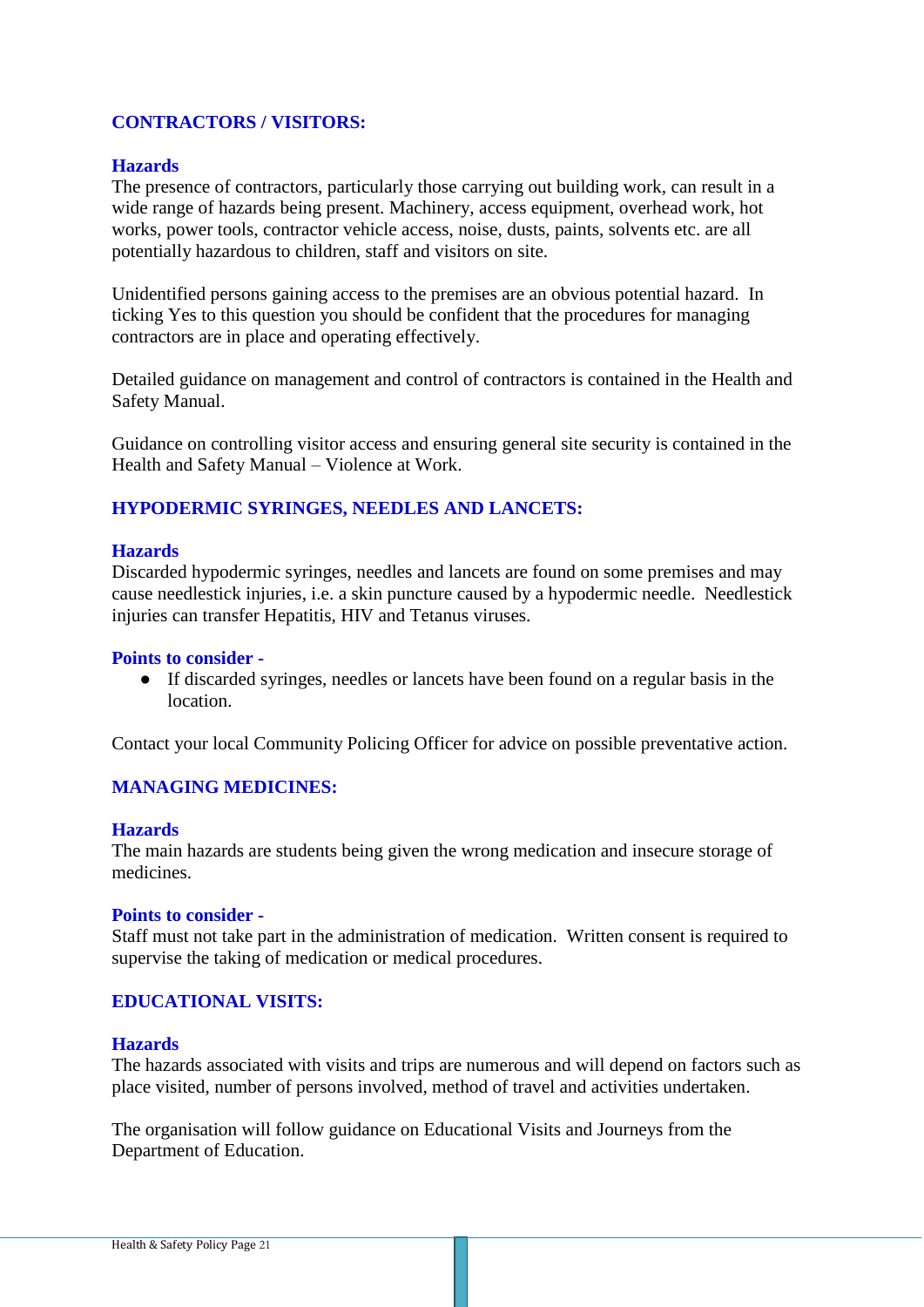# **CONTRACTORS / VISITORS:**

## **Hazards**

The presence of contractors, particularly those carrying out building work, can result in a wide range of hazards being present. Machinery, access equipment, overhead work, hot works, power tools, contractor vehicle access, noise, dusts, paints, solvents etc. are all potentially hazardous to children, staff and visitors on site.

Unidentified persons gaining access to the premises are an obvious potential hazard. In ticking Yes to this question you should be confident that the procedures for managing contractors are in place and operating effectively.

Detailed guidance on management and control of contractors is contained in the Health and Safety Manual.

Guidance on controlling visitor access and ensuring general site security is contained in the Health and Safety Manual – Violence at Work.

## **HYPODERMIC SYRINGES, NEEDLES AND LANCETS:**

#### **Hazards**

Discarded hypodermic syringes, needles and lancets are found on some premises and may cause needlestick injuries, i.e. a skin puncture caused by a hypodermic needle. Needlestick injuries can transfer Hepatitis, HIV and Tetanus viruses.

#### **Points to consider -**

● If discarded syringes, needles or lancets have been found on a regular basis in the location.

Contact your local Community Policing Officer for advice on possible preventative action.

## **MANAGING MEDICINES:**

#### **Hazards**

The main hazards are students being given the wrong medication and insecure storage of medicines.

#### **Points to consider -**

Staff must not take part in the administration of medication. Written consent is required to supervise the taking of medication or medical procedures.

## **EDUCATIONAL VISITS:**

#### **Hazards**

The hazards associated with visits and trips are numerous and will depend on factors such as place visited, number of persons involved, method of travel and activities undertaken.

The organisation will follow guidance on Educational Visits and Journeys from the Department of Education.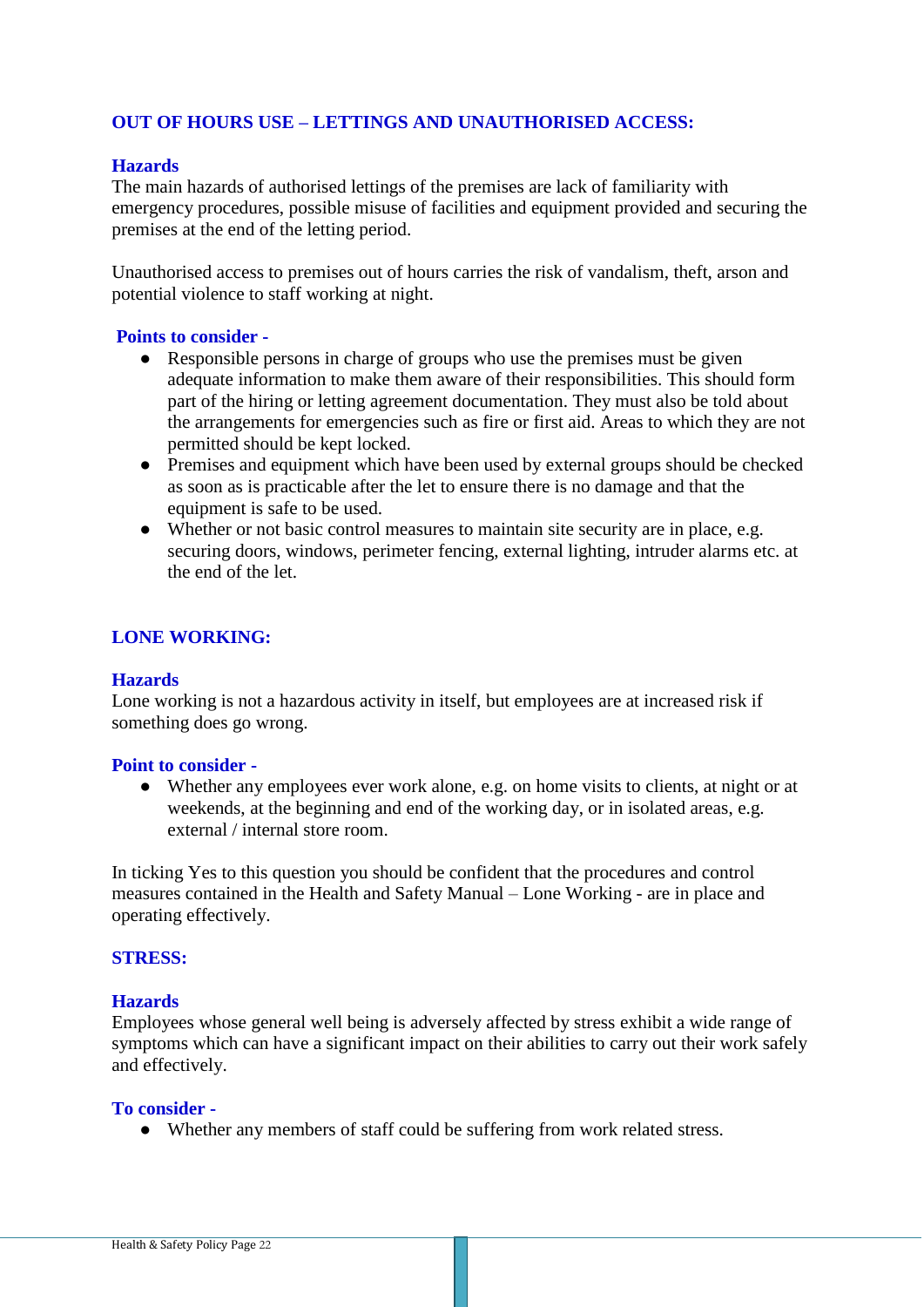# **OUT OF HOURS USE – LETTINGS AND UNAUTHORISED ACCESS:**

## **Hazards**

The main hazards of authorised lettings of the premises are lack of familiarity with emergency procedures, possible misuse of facilities and equipment provided and securing the premises at the end of the letting period.

Unauthorised access to premises out of hours carries the risk of vandalism, theft, arson and potential violence to staff working at night.

## **Points to consider -**

- Responsible persons in charge of groups who use the premises must be given adequate information to make them aware of their responsibilities. This should form part of the hiring or letting agreement documentation. They must also be told about the arrangements for emergencies such as fire or first aid. Areas to which they are not permitted should be kept locked.
- Premises and equipment which have been used by external groups should be checked as soon as is practicable after the let to ensure there is no damage and that the equipment is safe to be used.
- Whether or not basic control measures to maintain site security are in place, e.g. securing doors, windows, perimeter fencing, external lighting, intruder alarms etc. at the end of the let.

## **LONE WORKING:**

## **Hazards**

Lone working is not a hazardous activity in itself, but employees are at increased risk if something does go wrong.

#### **Point to consider -**

• Whether any employees ever work alone, e.g. on home visits to clients, at night or at weekends, at the beginning and end of the working day, or in isolated areas, e.g. external / internal store room.

In ticking Yes to this question you should be confident that the procedures and control measures contained in the Health and Safety Manual – Lone Working - are in place and operating effectively.

## **STRESS:**

#### **Hazards**

Employees whose general well being is adversely affected by stress exhibit a wide range of symptoms which can have a significant impact on their abilities to carry out their work safely and effectively.

#### **To consider -**

• Whether any members of staff could be suffering from work related stress.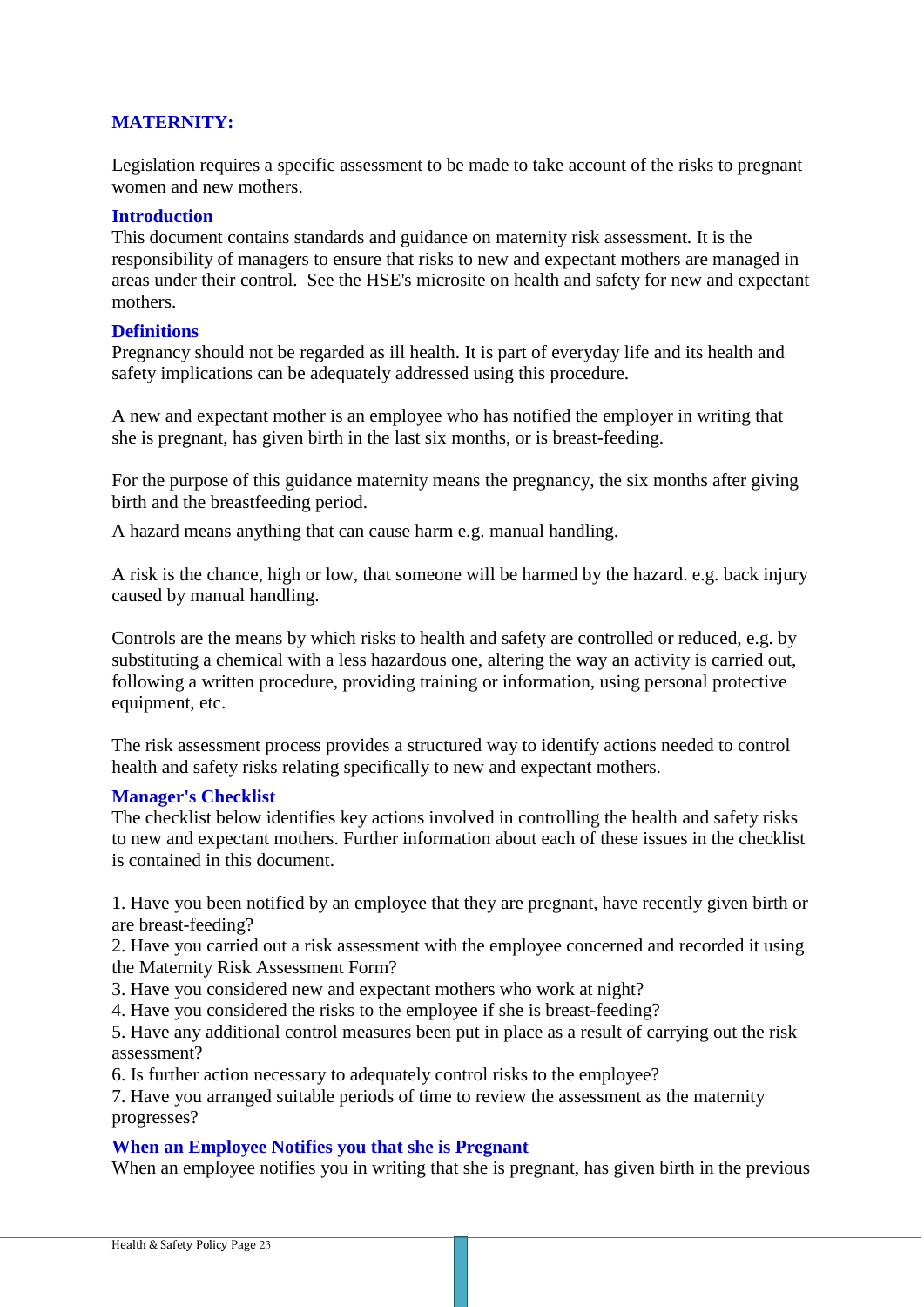# **MATERNITY:**

Legislation requires a specific assessment to be made to take account of the risks to pregnant women and new mothers.

## **Introduction**

This document contains standards and guidance on maternity risk assessment. It is the responsibility of managers to ensure that risks to new and expectant mothers are managed in areas under their control. See the HSE's microsite on health and safety for new and expectant mothers.

## **Definitions**

Pregnancy should not be regarded as ill health. It is part of everyday life and its health and safety implications can be adequately addressed using this procedure.

A new and expectant mother is an employee who has notified the employer in writing that she is pregnant, has given birth in the last six months, or is breast-feeding.

For the purpose of this guidance maternity means the pregnancy, the six months after giving birth and the breastfeeding period.

A hazard means anything that can cause harm e.g. manual handling.

A risk is the chance, high or low, that someone will be harmed by the hazard. e.g. back injury caused by manual handling.

Controls are the means by which risks to health and safety are controlled or reduced, e.g. by substituting a chemical with a less hazardous one, altering the way an activity is carried out, following a written procedure, providing training or information, using personal protective equipment, etc.

The risk assessment process provides a structured way to identify actions needed to control health and safety risks relating specifically to new and expectant mothers.

#### **Manager's Checklist**

The checklist below identifies key actions involved in controlling the health and safety risks to new and expectant mothers. Further information about each of these issues in the checklist is contained in this document.

1. Have you been notified by an employee that they are pregnant, have recently given birth or are breast-feeding?

2. Have you carried out a risk assessment with the employee concerned and recorded it using the Maternity Risk Assessment Form?

3. Have you considered new and expectant mothers who work at night?

4. Have you considered the risks to the employee if she is breast-feeding?

5. Have any additional control measures been put in place as a result of carrying out the risk assessment?

6. Is further action necessary to adequately control risks to the employee?

7. Have you arranged suitable periods of time to review the assessment as the maternity progresses?

## **When an Employee Notifies you that she is Pregnant**

When an employee notifies you in writing that she is pregnant, has given birth in the previous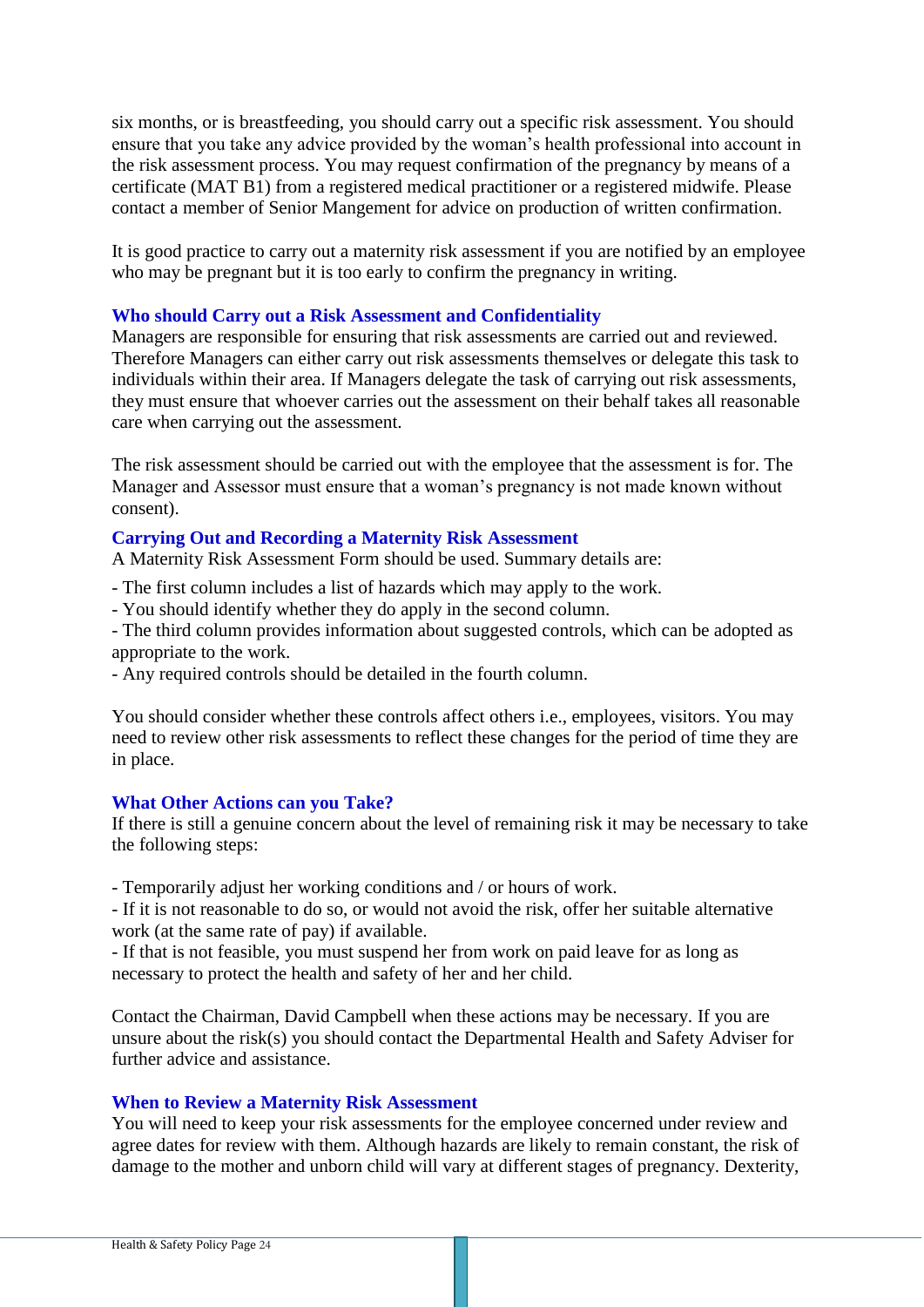six months, or is breastfeeding, you should carry out a specific risk assessment. You should ensure that you take any advice provided by the woman's health professional into account in the risk assessment process. You may request confirmation of the pregnancy by means of a certificate (MAT B1) from a registered medical practitioner or a registered midwife. Please contact a member of Senior Mangement for advice on production of written confirmation.

It is good practice to carry out a maternity risk assessment if you are notified by an employee who may be pregnant but it is too early to confirm the pregnancy in writing.

## **Who should Carry out a Risk Assessment and Confidentiality**

Managers are responsible for ensuring that risk assessments are carried out and reviewed. Therefore Managers can either carry out risk assessments themselves or delegate this task to individuals within their area. If Managers delegate the task of carrying out risk assessments, they must ensure that whoever carries out the assessment on their behalf takes all reasonable care when carrying out the assessment.

The risk assessment should be carried out with the employee that the assessment is for. The Manager and Assessor must ensure that a woman's pregnancy is not made known without consent).

## **Carrying Out and Recording a Maternity Risk Assessment**

A Maternity Risk Assessment Form should be used. Summary details are:

- The first column includes a list of hazards which may apply to the work.

- You should identify whether they do apply in the second column.

- The third column provides information about suggested controls, which can be adopted as appropriate to the work.

- Any required controls should be detailed in the fourth column.

You should consider whether these controls affect others i.e., employees, visitors. You may need to review other risk assessments to reflect these changes for the period of time they are in place.

## **What Other Actions can you Take?**

If there is still a genuine concern about the level of remaining risk it may be necessary to take the following steps:

- Temporarily adjust her working conditions and / or hours of work.

- If it is not reasonable to do so, or would not avoid the risk, offer her suitable alternative work (at the same rate of pay) if available.

- If that is not feasible, you must suspend her from work on paid leave for as long as necessary to protect the health and safety of her and her child.

Contact the Chairman, David Campbell when these actions may be necessary. If you are unsure about the risk(s) you should contact the Departmental Health and Safety Adviser for further advice and assistance.

## **When to Review a Maternity Risk Assessment**

You will need to keep your risk assessments for the employee concerned under review and agree dates for review with them. Although hazards are likely to remain constant, the risk of damage to the mother and unborn child will vary at different stages of pregnancy. Dexterity,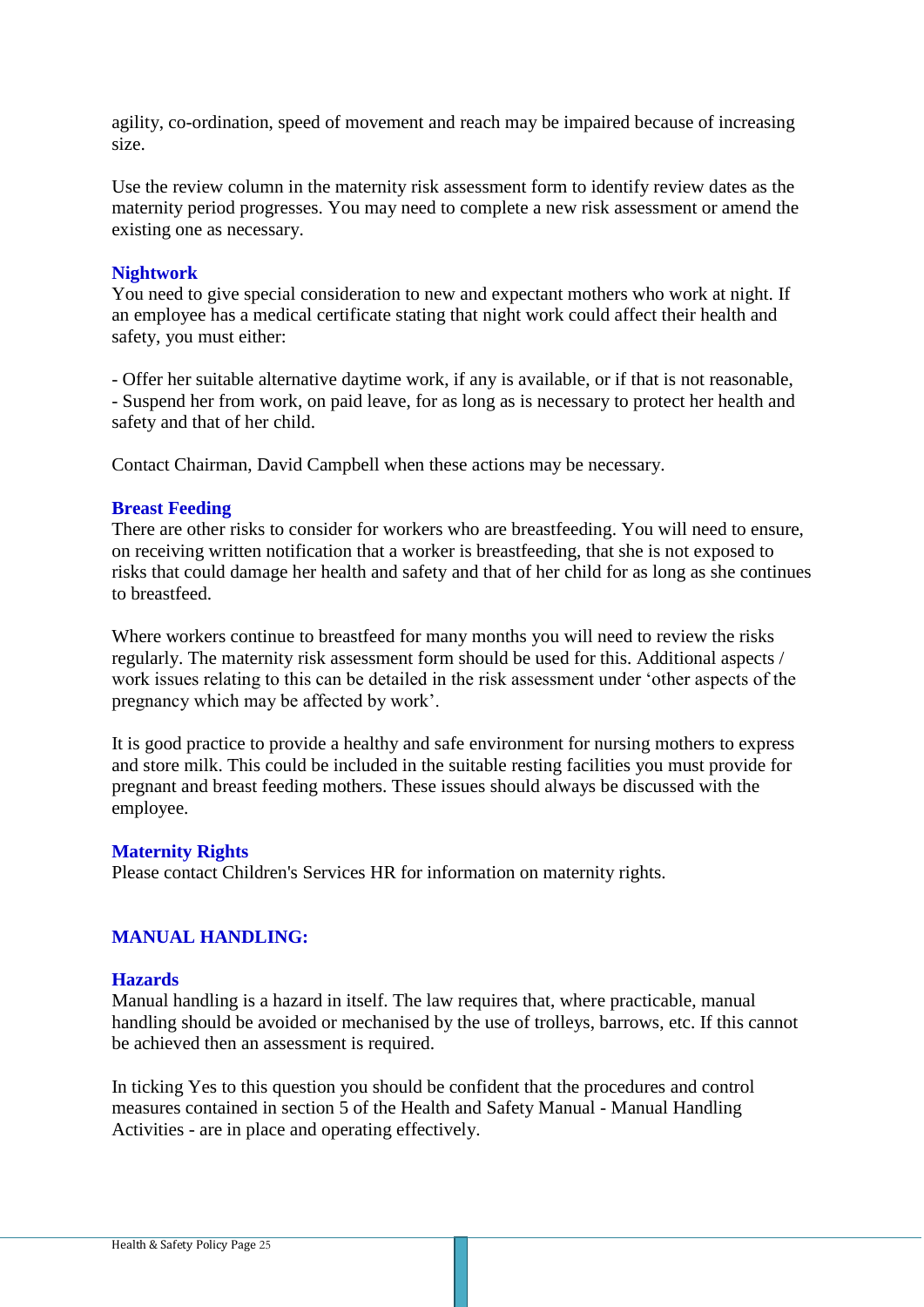agility, co-ordination, speed of movement and reach may be impaired because of increasing size.

Use the review column in the maternity risk assessment form to identify review dates as the maternity period progresses. You may need to complete a new risk assessment or amend the existing one as necessary.

## **Nightwork**

You need to give special consideration to new and expectant mothers who work at night. If an employee has a medical certificate stating that night work could affect their health and safety, you must either:

- Offer her suitable alternative daytime work, if any is available, or if that is not reasonable, - Suspend her from work, on paid leave, for as long as is necessary to protect her health and safety and that of her child.

Contact Chairman, David Campbell when these actions may be necessary.

## **Breast Feeding**

There are other risks to consider for workers who are breastfeeding. You will need to ensure, on receiving written notification that a worker is breastfeeding, that she is not exposed to risks that could damage her health and safety and that of her child for as long as she continues to breastfeed.

Where workers continue to breastfeed for many months you will need to review the risks regularly. The maternity risk assessment form should be used for this. Additional aspects / work issues relating to this can be detailed in the risk assessment under 'other aspects of the pregnancy which may be affected by work'.

It is good practice to provide a healthy and safe environment for nursing mothers to express and store milk. This could be included in the suitable resting facilities you must provide for pregnant and breast feeding mothers. These issues should always be discussed with the employee.

#### **Maternity Rights**

Please contact Children's Services HR for information on maternity rights.

# **MANUAL HANDLING:**

## **Hazards**

Manual handling is a hazard in itself. The law requires that, where practicable, manual handling should be avoided or mechanised by the use of trolleys, barrows, etc. If this cannot be achieved then an assessment is required.

In ticking Yes to this question you should be confident that the procedures and control measures contained in section 5 of the Health and Safety Manual - Manual Handling Activities - are in place and operating effectively.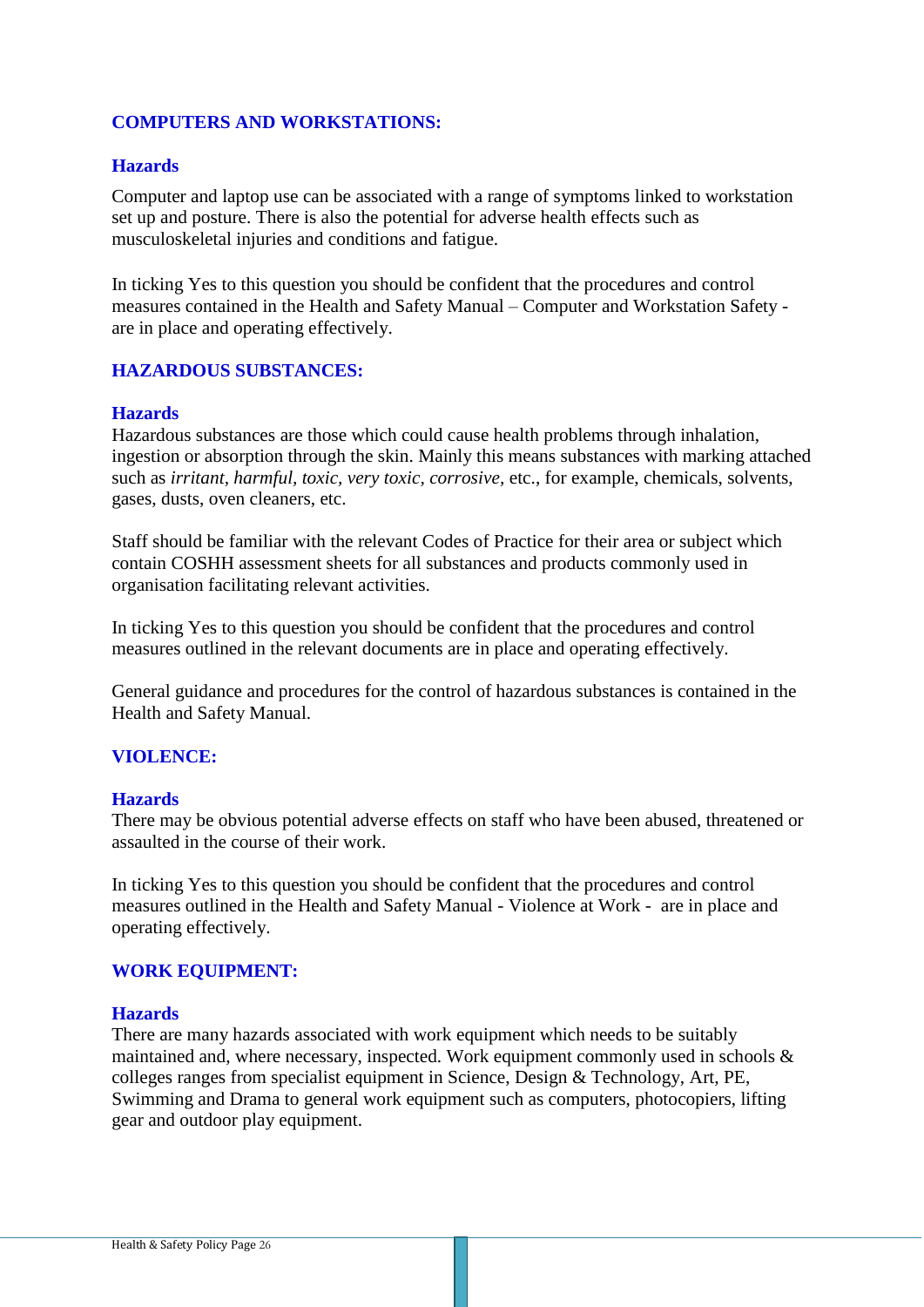# **COMPUTERS AND WORKSTATIONS:**

## **Hazards**

Computer and laptop use can be associated with a range of symptoms linked to workstation set up and posture. There is also the potential for adverse health effects such as musculoskeletal injuries and conditions and fatigue.

In ticking Yes to this question you should be confident that the procedures and control measures contained in the Health and Safety Manual – Computer and Workstation Safety are in place and operating effectively.

## **HAZARDOUS SUBSTANCES:**

## **Hazards**

Hazardous substances are those which could cause health problems through inhalation, ingestion or absorption through the skin. Mainly this means substances with marking attached such as *irritant, harmful, toxic, very toxic, corrosive,* etc., for example, chemicals, solvents, gases, dusts, oven cleaners, etc.

Staff should be familiar with the relevant Codes of Practice for their area or subject which contain COSHH assessment sheets for all substances and products commonly used in organisation facilitating relevant activities.

In ticking Yes to this question you should be confident that the procedures and control measures outlined in the relevant documents are in place and operating effectively.

General guidance and procedures for the control of hazardous substances is contained in the Health and Safety Manual.

## **VIOLENCE:**

#### **Hazards**

There may be obvious potential adverse effects on staff who have been abused, threatened or assaulted in the course of their work.

In ticking Yes to this question you should be confident that the procedures and control measures outlined in the Health and Safety Manual - Violence at Work - are in place and operating effectively.

#### **WORK EQUIPMENT:**

#### **Hazards**

There are many hazards associated with work equipment which needs to be suitably maintained and, where necessary, inspected. Work equipment commonly used in schools  $\&$ colleges ranges from specialist equipment in Science, Design & Technology, Art, PE, Swimming and Drama to general work equipment such as computers, photocopiers, lifting gear and outdoor play equipment.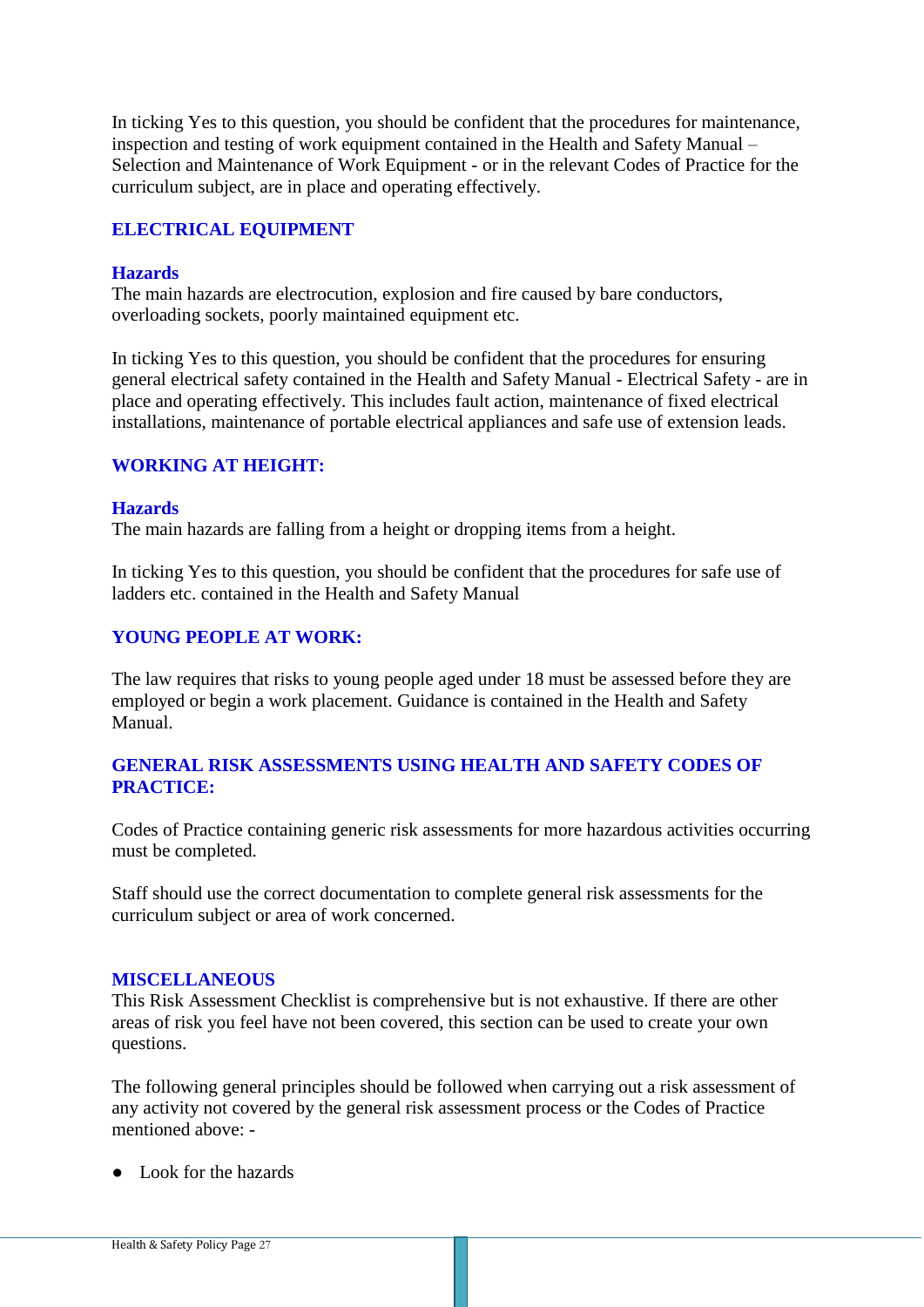In ticking Yes to this question, you should be confident that the procedures for maintenance, inspection and testing of work equipment contained in the Health and Safety Manual – Selection and Maintenance of Work Equipment - or in the relevant Codes of Practice for the curriculum subject, are in place and operating effectively.

# **ELECTRICAL EQUIPMENT**

## **Hazards**

The main hazards are electrocution, explosion and fire caused by bare conductors, overloading sockets, poorly maintained equipment etc.

In ticking Yes to this question, you should be confident that the procedures for ensuring general electrical safety contained in the Health and Safety Manual - Electrical Safety - are in place and operating effectively. This includes fault action, maintenance of fixed electrical installations, maintenance of portable electrical appliances and safe use of extension leads.

# **WORKING AT HEIGHT:**

## **Hazards**

The main hazards are falling from a height or dropping items from a height.

In ticking Yes to this question, you should be confident that the procedures for safe use of ladders etc. contained in the Health and Safety Manual

## **YOUNG PEOPLE AT WORK:**

The law requires that risks to young people aged under 18 must be assessed before they are employed or begin a work placement. Guidance is contained in the Health and Safety Manual.

## **GENERAL RISK ASSESSMENTS USING HEALTH AND SAFETY CODES OF PRACTICE:**

Codes of Practice containing generic risk assessments for more hazardous activities occurring must be completed.

Staff should use the correct documentation to complete general risk assessments for the curriculum subject or area of work concerned.

#### **MISCELLANEOUS**

This Risk Assessment Checklist is comprehensive but is not exhaustive. If there are other areas of risk you feel have not been covered, this section can be used to create your own questions.

The following general principles should be followed when carrying out a risk assessment of any activity not covered by the general risk assessment process or the Codes of Practice mentioned above: -

● Look for the hazards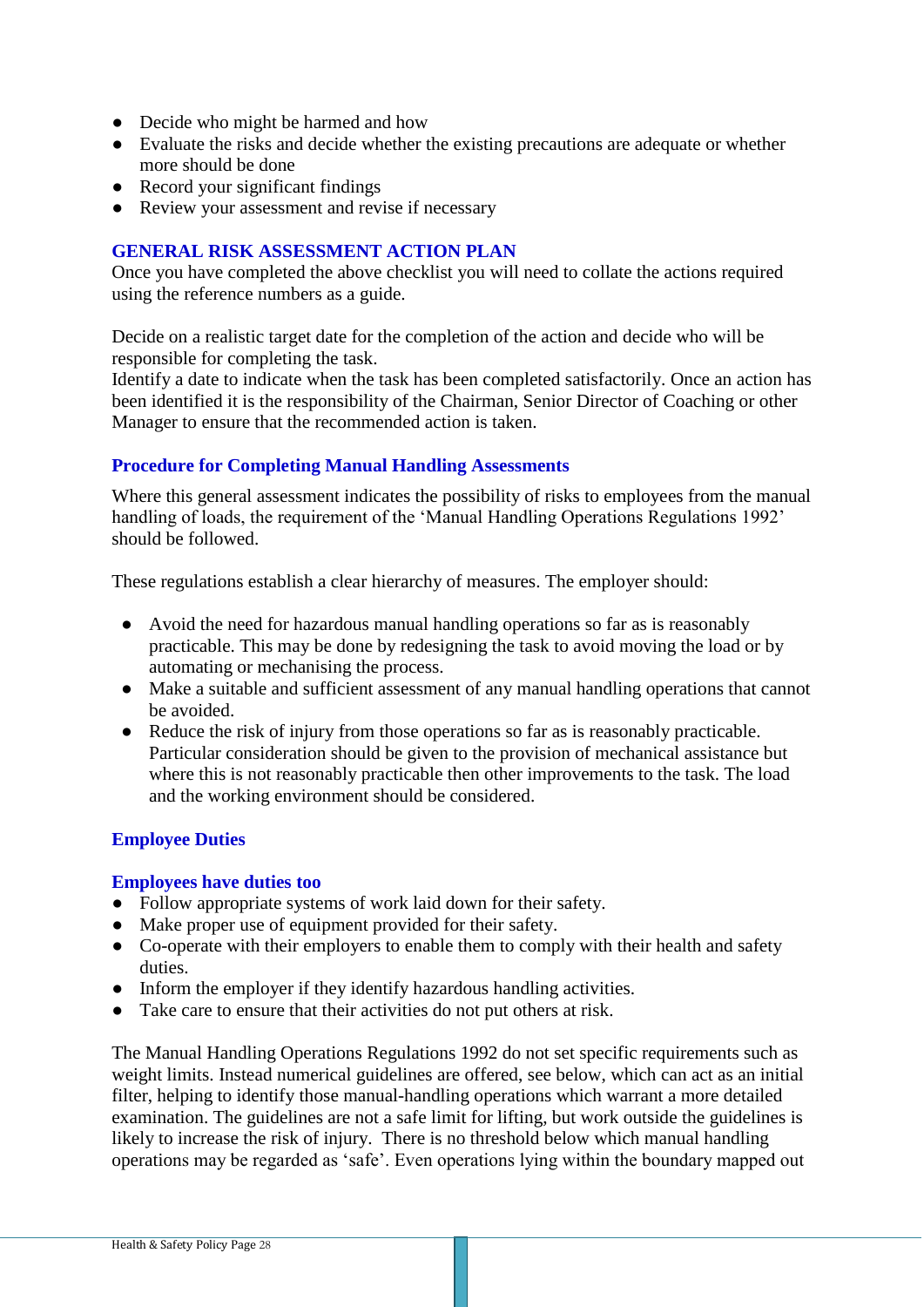- Decide who might be harmed and how
- Evaluate the risks and decide whether the existing precautions are adequate or whether more should be done
- Record your significant findings
- Review your assessment and revise if necessary

### **GENERAL RISK ASSESSMENT ACTION PLAN**

Once you have completed the above checklist you will need to collate the actions required using the reference numbers as a guide.

Decide on a realistic target date for the completion of the action and decide who will be responsible for completing the task.

Identify a date to indicate when the task has been completed satisfactorily. Once an action has been identified it is the responsibility of the Chairman, Senior Director of Coaching or other Manager to ensure that the recommended action is taken.

## **Procedure for Completing Manual Handling Assessments**

Where this general assessment indicates the possibility of risks to employees from the manual handling of loads, the requirement of the 'Manual Handling Operations Regulations 1992' should be followed.

These regulations establish a clear hierarchy of measures. The employer should:

- Avoid the need for hazardous manual handling operations so far as is reasonably practicable. This may be done by redesigning the task to avoid moving the load or by automating or mechanising the process.
- Make a suitable and sufficient assessment of any manual handling operations that cannot be avoided.
- Reduce the risk of injury from those operations so far as is reasonably practicable. Particular consideration should be given to the provision of mechanical assistance but where this is not reasonably practicable then other improvements to the task. The load and the working environment should be considered.

## **Employee Duties**

#### **Employees have duties too**

- Follow appropriate systems of work laid down for their safety.
- Make proper use of equipment provided for their safety.
- Co-operate with their employers to enable them to comply with their health and safety duties.
- Inform the employer if they identify hazardous handling activities.
- Take care to ensure that their activities do not put others at risk.

The Manual Handling Operations Regulations 1992 do not set specific requirements such as weight limits. Instead numerical guidelines are offered, see below, which can act as an initial filter, helping to identify those manual-handling operations which warrant a more detailed examination. The guidelines are not a safe limit for lifting, but work outside the guidelines is likely to increase the risk of injury. There is no threshold below which manual handling operations may be regarded as 'safe'. Even operations lying within the boundary mapped out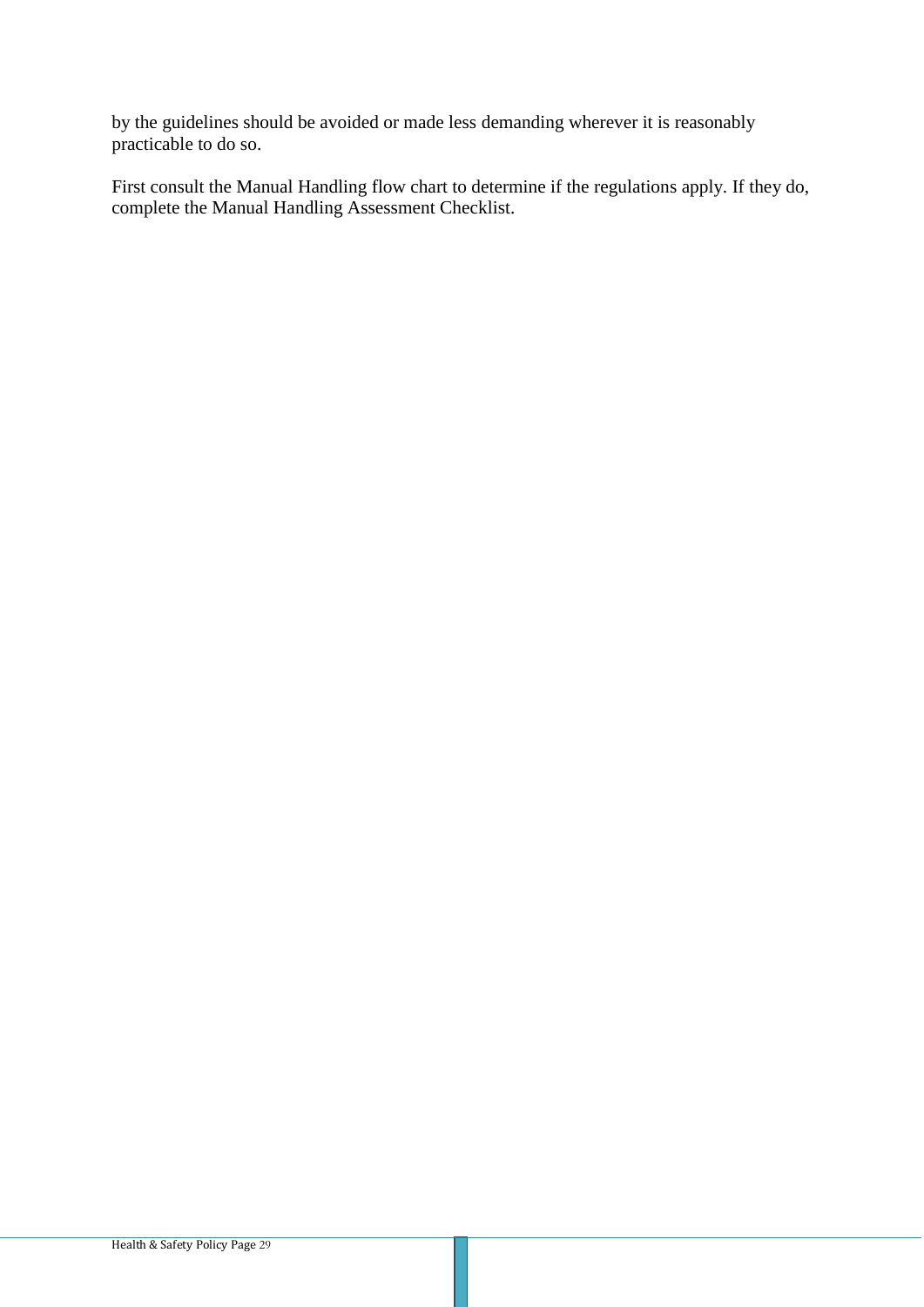by the guidelines should be avoided or made less demanding wherever it is reasonably practicable to do so.

First consult the Manual Handling flow chart to determine if the regulations apply. If they do, complete the Manual Handling Assessment Checklist.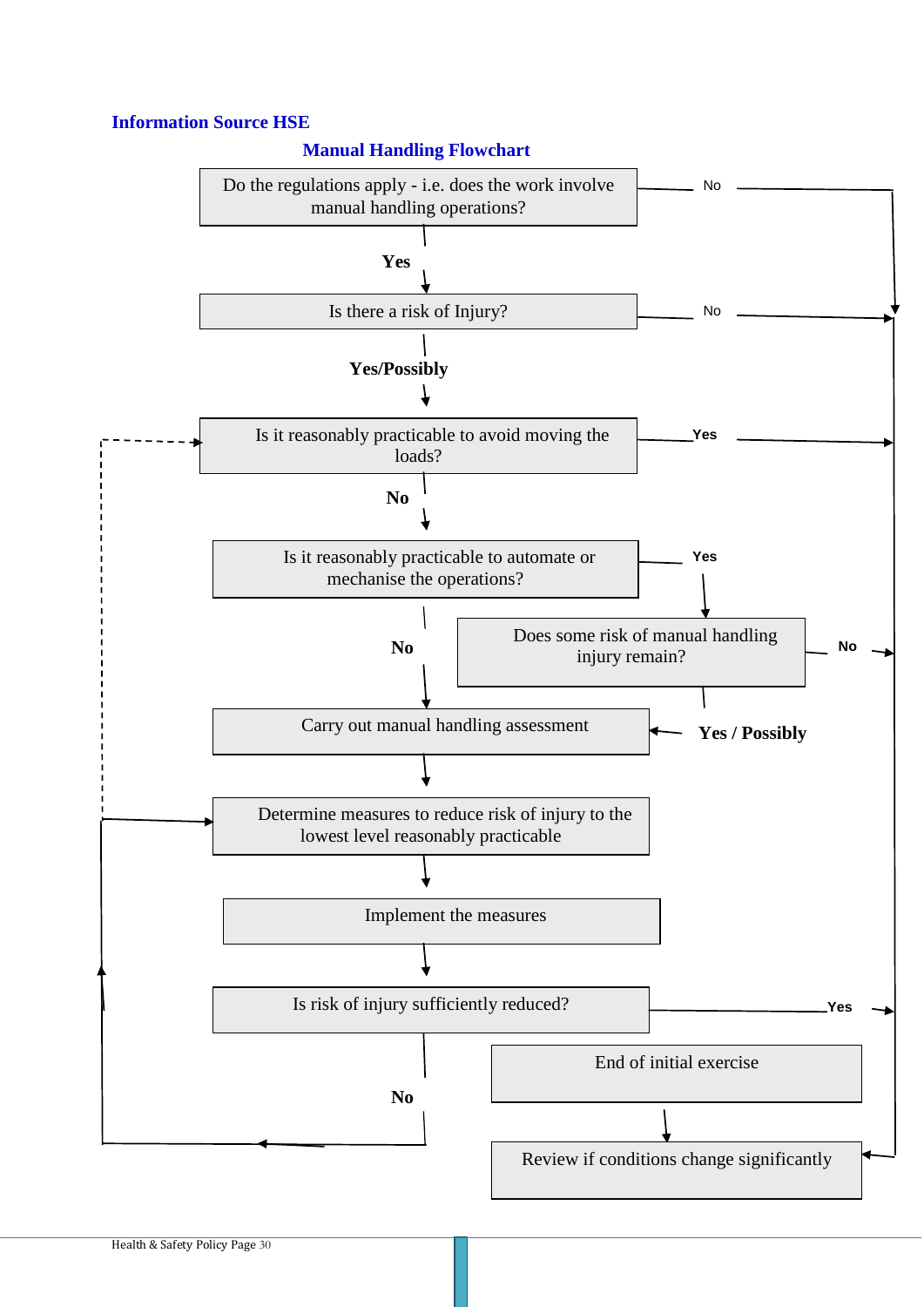# **Information Source HSE**

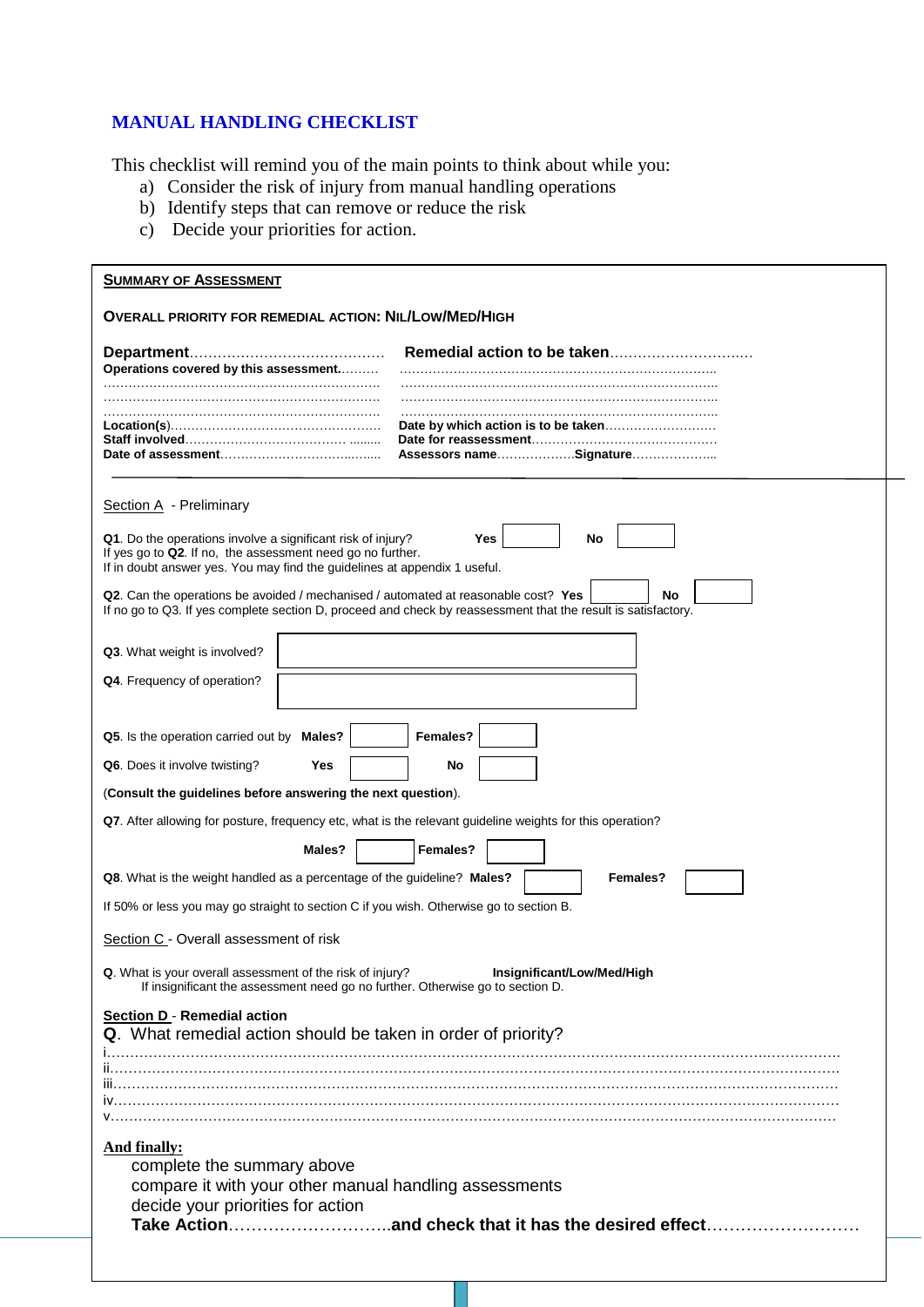# **MANUAL HANDLING CHECKLIST**

This checklist will remind you of the main points to think about while you:

- a) Consider the risk of injury from manual handling operations
- b) Identify steps that can remove or reduce the risk
- c) Decide your priorities for action.

| <b>SUMMARY OF ASSESSMENT</b>                                                                                                                                                                                        |                            |  |  |  |  |  |  |  |  |
|---------------------------------------------------------------------------------------------------------------------------------------------------------------------------------------------------------------------|----------------------------|--|--|--|--|--|--|--|--|
| <b>OVERALL PRIORITY FOR REMEDIAL ACTION: NIL/LOW/MED/HIGH</b>                                                                                                                                                       |                            |  |  |  |  |  |  |  |  |
| Operations covered by this assessment                                                                                                                                                                               |                            |  |  |  |  |  |  |  |  |
|                                                                                                                                                                                                                     |                            |  |  |  |  |  |  |  |  |
|                                                                                                                                                                                                                     |                            |  |  |  |  |  |  |  |  |
| Section $A$ - Preliminary                                                                                                                                                                                           |                            |  |  |  |  |  |  |  |  |
| Yes<br>No<br>Q1. Do the operations involve a significant risk of injury?<br>If yes go to Q2. If no, the assessment need go no further.<br>If in doubt answer yes. You may find the guidelines at appendix 1 useful. |                            |  |  |  |  |  |  |  |  |
| Q2. Can the operations be avoided / mechanised / automated at reasonable cost? Yes<br>No<br>If no go to Q3. If yes complete section D, proceed and check by reassessment that the result is satisfactory.           |                            |  |  |  |  |  |  |  |  |
| Q3. What weight is involved?                                                                                                                                                                                        |                            |  |  |  |  |  |  |  |  |
| Q4. Frequency of operation?                                                                                                                                                                                         |                            |  |  |  |  |  |  |  |  |
|                                                                                                                                                                                                                     |                            |  |  |  |  |  |  |  |  |
| Q5. Is the operation carried out by Males?<br>Q6. Does it involve twisting?<br>Yes                                                                                                                                  | Females?<br>No             |  |  |  |  |  |  |  |  |
| (Consult the guidelines before answering the next question).                                                                                                                                                        |                            |  |  |  |  |  |  |  |  |
| Q7. After allowing for posture, frequency etc, what is the relevant guideline weights for this operation?                                                                                                           |                            |  |  |  |  |  |  |  |  |
| Males?                                                                                                                                                                                                              | Females?                   |  |  |  |  |  |  |  |  |
| Q8. What is the weight handled as a percentage of the guideline? Males?                                                                                                                                             | Females?                   |  |  |  |  |  |  |  |  |
| If 50% or less you may go straight to section C if you wish. Otherwise go to section B.                                                                                                                             |                            |  |  |  |  |  |  |  |  |
| Section C - Overall assessment of risk                                                                                                                                                                              |                            |  |  |  |  |  |  |  |  |
| Q. What is your overall assessment of the risk of injury?<br>If insignificant the assessment need go no further. Otherwise go to section D.                                                                         | Insignificant/Low/Med/High |  |  |  |  |  |  |  |  |
| <b>Section D - Remedial action</b><br>Q. What remedial action should be taken in order of priority?                                                                                                                 |                            |  |  |  |  |  |  |  |  |
|                                                                                                                                                                                                                     |                            |  |  |  |  |  |  |  |  |
| <b>And finally:</b><br>complete the summary above<br>compare it with your other manual handling assessments<br>decide your priorities for action                                                                    |                            |  |  |  |  |  |  |  |  |
|                                                                                                                                                                                                                     |                            |  |  |  |  |  |  |  |  |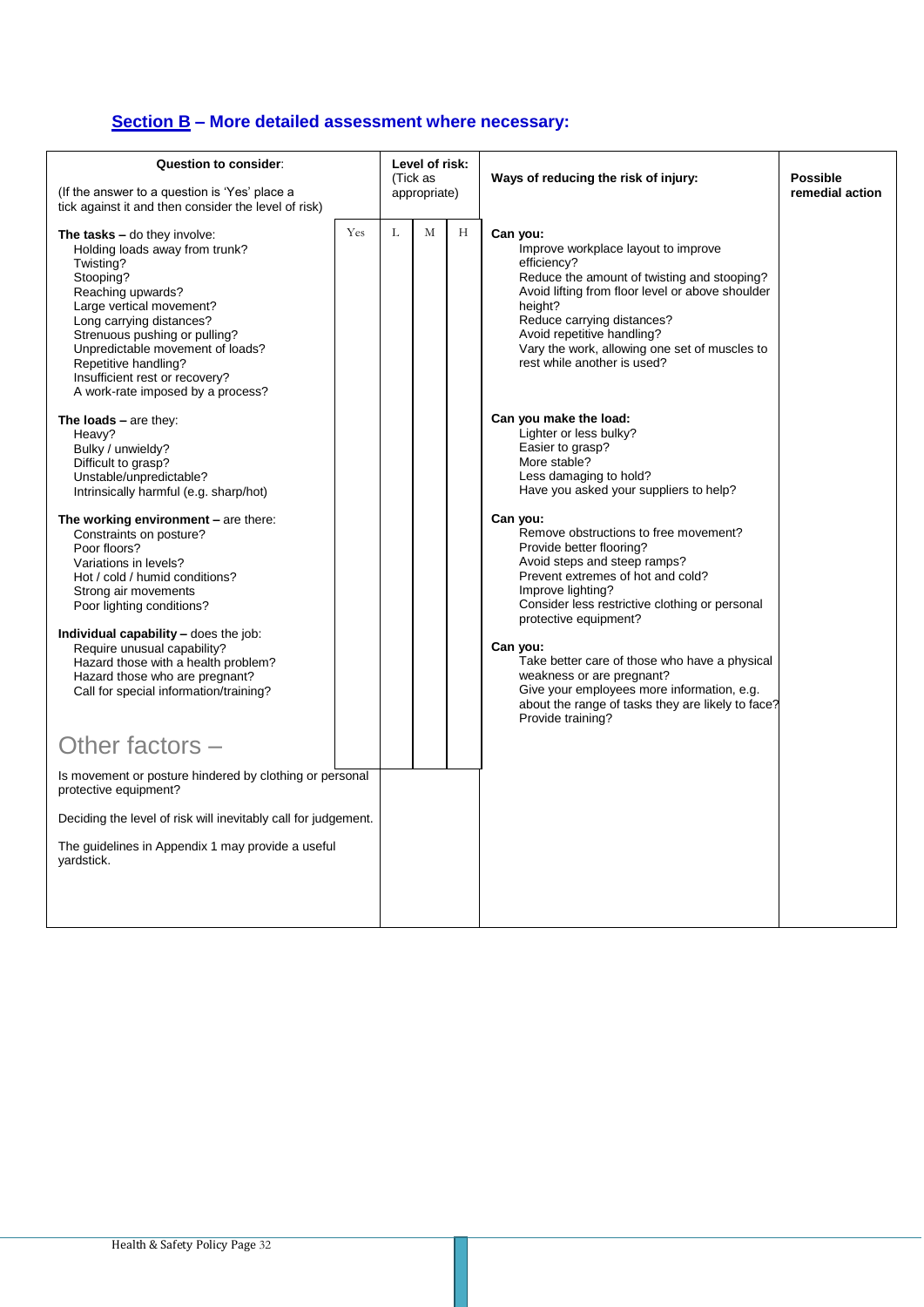# **Section B – More detailed assessment where necessary:**

| Question to consider:<br>(If the answer to a question is 'Yes' place a<br>tick against it and then consider the level of risk)                                                                                                                                                                                                            |     | Level of risk:<br>(Tick as<br>appropriate) |   |   | Ways of reducing the risk of injury:                                                                                                                                                                                                                                                                                     | <b>Possible</b><br>remedial action |
|-------------------------------------------------------------------------------------------------------------------------------------------------------------------------------------------------------------------------------------------------------------------------------------------------------------------------------------------|-----|--------------------------------------------|---|---|--------------------------------------------------------------------------------------------------------------------------------------------------------------------------------------------------------------------------------------------------------------------------------------------------------------------------|------------------------------------|
| The tasks - do they involve:<br>Holding loads away from trunk?<br>Twisting?<br>Stooping?<br>Reaching upwards?<br>Large vertical movement?<br>Long carrying distances?<br>Strenuous pushing or pulling?<br>Unpredictable movement of loads?<br>Repetitive handling?<br>Insufficient rest or recovery?<br>A work-rate imposed by a process? | Yes | T.                                         | M | H | Can you:<br>Improve workplace layout to improve<br>efficiency?<br>Reduce the amount of twisting and stooping?<br>Avoid lifting from floor level or above shoulder<br>height?<br>Reduce carrying distances?<br>Avoid repetitive handling?<br>Vary the work, allowing one set of muscles to<br>rest while another is used? |                                    |
| The loads $-$ are they:<br>Heavy?<br>Bulky / unwieldy?<br>Difficult to grasp?<br>Unstable/unpredictable?<br>Intrinsically harmful (e.g. sharp/hot)                                                                                                                                                                                        |     |                                            |   |   | Can you make the load:<br>Lighter or less bulky?<br>Easier to grasp?<br>More stable?<br>Less damaging to hold?<br>Have you asked your suppliers to help?                                                                                                                                                                 |                                    |
| The working environment $-$ are there:<br>Constraints on posture?<br>Poor floors?<br>Variations in levels?<br>Hot / cold / humid conditions?<br>Strong air movements<br>Poor lighting conditions?                                                                                                                                         |     |                                            |   |   | Can you:<br>Remove obstructions to free movement?<br>Provide better flooring?<br>Avoid steps and steep ramps?<br>Prevent extremes of hot and cold?<br>Improve lighting?<br>Consider less restrictive clothing or personal<br>protective equipment?                                                                       |                                    |
| Individual capability - does the job:<br>Require unusual capability?<br>Hazard those with a health problem?<br>Hazard those who are pregnant?<br>Call for special information/training?                                                                                                                                                   |     |                                            |   |   | Can you:<br>Take better care of those who have a physical<br>weakness or are pregnant?<br>Give your employees more information, e.g.<br>about the range of tasks they are likely to face?<br>Provide training?                                                                                                           |                                    |
| Other factors -                                                                                                                                                                                                                                                                                                                           |     |                                            |   |   |                                                                                                                                                                                                                                                                                                                          |                                    |
| Is movement or posture hindered by clothing or personal<br>protective equipment?                                                                                                                                                                                                                                                          |     |                                            |   |   |                                                                                                                                                                                                                                                                                                                          |                                    |
| Deciding the level of risk will inevitably call for judgement.                                                                                                                                                                                                                                                                            |     |                                            |   |   |                                                                                                                                                                                                                                                                                                                          |                                    |
| The guidelines in Appendix 1 may provide a useful<br>yardstick.                                                                                                                                                                                                                                                                           |     |                                            |   |   |                                                                                                                                                                                                                                                                                                                          |                                    |